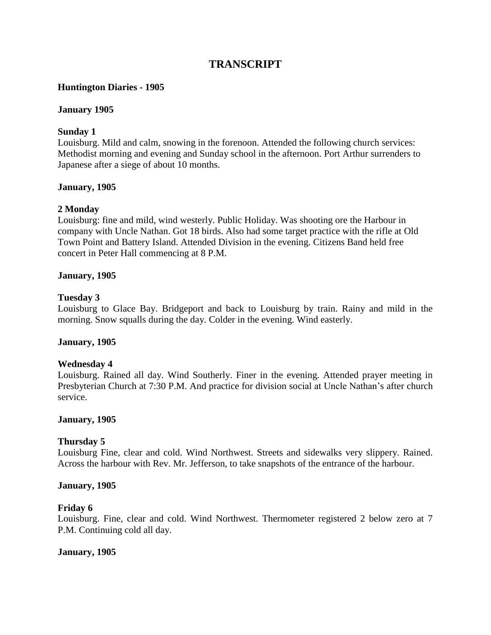# **TRANSCRIPT**

## **Huntington Diaries - 1905**

#### **January 1905**

## **Sunday 1**

Louisburg. Mild and calm, snowing in the forenoon. Attended the following church services: Methodist morning and evening and Sunday school in the afternoon. Port Arthur surrenders to Japanese after a siege of about 10 months.

## **January, 1905**

## **2 Monday**

Louisburg: fine and mild, wind westerly. Public Holiday. Was shooting ore the Harbour in company with Uncle Nathan. Got 18 birds. Also had some target practice with the rifle at Old Town Point and Battery Island. Attended Division in the evening. Citizens Band held free concert in Peter Hall commencing at 8 P.M.

## **January, 1905**

## **Tuesday 3**

Louisburg to Glace Bay. Bridgeport and back to Louisburg by train. Rainy and mild in the morning. Snow squalls during the day. Colder in the evening. Wind easterly.

## **January, 1905**

## **Wednesday 4**

Louisburg. Rained all day. Wind Southerly. Finer in the evening. Attended prayer meeting in Presbyterian Church at 7:30 P.M. And practice for division social at Uncle Nathan"s after church service.

## **January, 1905**

## **Thursday 5**

Louisburg Fine, clear and cold. Wind Northwest. Streets and sidewalks very slippery. Rained. Across the harbour with Rev. Mr. Jefferson, to take snapshots of the entrance of the harbour.

#### **January, 1905**

#### **Friday 6**

Louisburg. Fine, clear and cold. Wind Northwest. Thermometer registered 2 below zero at 7 P.M. Continuing cold all day.

## **January, 1905**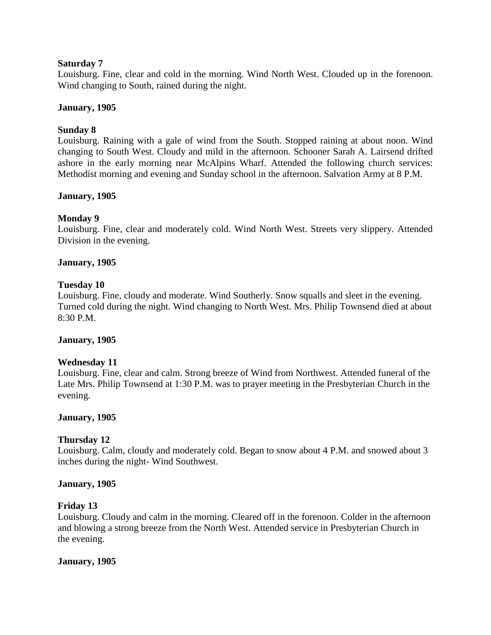## **Saturday 7**

Louisburg. Fine, clear and cold in the morning. Wind North West. Clouded up in the forenoon. Wind changing to South, rained during the night.

## **January, 1905**

## **Sunday 8**

Louisburg. Raining with a gale of wind from the South. Stopped raining at about noon. Wind changing to South West. Cloudy and mild in the afternoon. Schooner Sarah A. Lairsend drifted ashore in the early morning near McAlpins Wharf. Attended the following church services: Methodist morning and evening and Sunday school in the afternoon. Salvation Army at 8 P.M.

## **January, 1905**

## **Monday 9**

Louisburg. Fine, clear and moderately cold. Wind North West. Streets very slippery. Attended Division in the evening.

## **January, 1905**

#### **Tuesday 10**

Louisburg. Fine, cloudy and moderate. Wind Southerly. Snow squalls and sleet in the evening. Turned cold during the night. Wind changing to North West. Mrs. Philip Townsend died at about 8:30 P.M.

## **January, 1905**

## **Wednesday 11**

Louisburg. Fine, clear and calm. Strong breeze of Wind from Northwest. Attended funeral of the Late Mrs. Philip Townsend at 1:30 P.M. was to prayer meeting in the Presbyterian Church in the evening.

## **January, 1905**

## **Thursday 12**

Louisburg. Calm, cloudy and moderately cold. Began to snow about 4 P.M. and snowed about 3 inches during the night- Wind Southwest.

#### **January, 1905**

#### **Friday 13**

Louisburg. Cloudy and calm in the morning. Cleared off in the forenoon. Colder in the afternoon and blowing a strong breeze from the North West. Attended service in Presbyterian Church in the evening.

#### **January, 1905**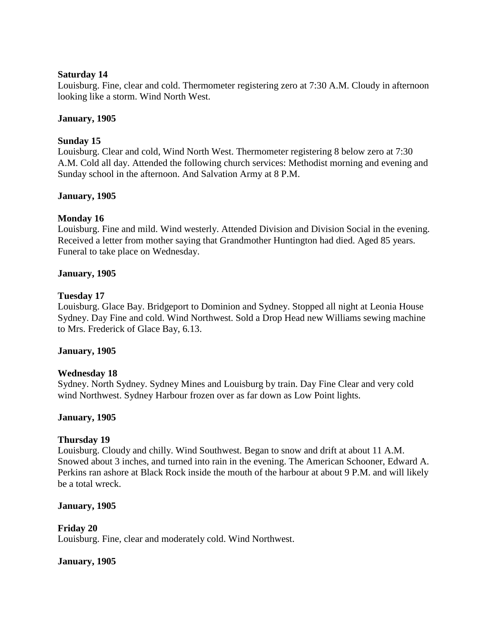#### **Saturday 14**

Louisburg. Fine, clear and cold. Thermometer registering zero at 7:30 A.M. Cloudy in afternoon looking like a storm. Wind North West.

## **January, 1905**

## **Sunday 15**

Louisburg. Clear and cold, Wind North West. Thermometer registering 8 below zero at 7:30 A.M. Cold all day. Attended the following church services: Methodist morning and evening and Sunday school in the afternoon. And Salvation Army at 8 P.M.

#### **January, 1905**

## **Monday 16**

Louisburg. Fine and mild. Wind westerly. Attended Division and Division Social in the evening. Received a letter from mother saying that Grandmother Huntington had died. Aged 85 years. Funeral to take place on Wednesday.

#### **January, 1905**

#### **Tuesday 17**

Louisburg. Glace Bay. Bridgeport to Dominion and Sydney. Stopped all night at Leonia House Sydney. Day Fine and cold. Wind Northwest. Sold a Drop Head new Williams sewing machine to Mrs. Frederick of Glace Bay, 6.13.

#### **January, 1905**

#### **Wednesday 18**

Sydney. North Sydney. Sydney Mines and Louisburg by train. Day Fine Clear and very cold wind Northwest. Sydney Harbour frozen over as far down as Low Point lights.

## **January, 1905**

## **Thursday 19**

Louisburg. Cloudy and chilly. Wind Southwest. Began to snow and drift at about 11 A.M. Snowed about 3 inches, and turned into rain in the evening. The American Schooner, Edward A. Perkins ran ashore at Black Rock inside the mouth of the harbour at about 9 P.M. and will likely be a total wreck.

#### **January, 1905**

## **Friday 20**

Louisburg. Fine, clear and moderately cold. Wind Northwest.

#### **January, 1905**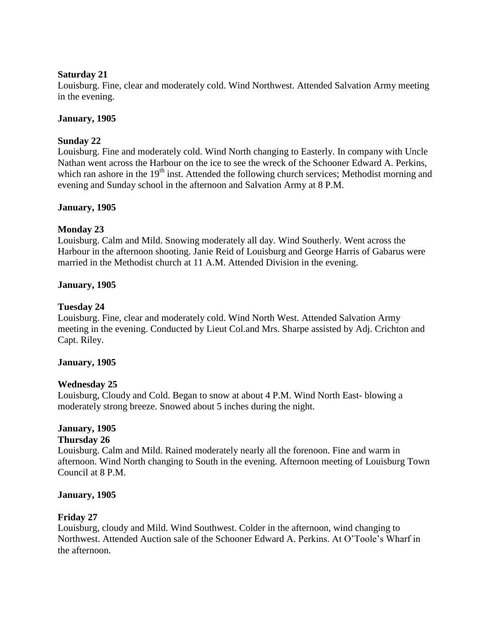## **Saturday 21**

Louisburg. Fine, clear and moderately cold. Wind Northwest. Attended Salvation Army meeting in the evening.

## **January, 1905**

## **Sunday 22**

Louisburg. Fine and moderately cold. Wind North changing to Easterly. In company with Uncle Nathan went across the Harbour on the ice to see the wreck of the Schooner Edward A. Perkins, which ran ashore in the  $19<sup>th</sup>$  inst. Attended the following church services; Methodist morning and evening and Sunday school in the afternoon and Salvation Army at 8 P.M.

## **January, 1905**

## **Monday 23**

Louisburg. Calm and Mild. Snowing moderately all day. Wind Southerly. Went across the Harbour in the afternoon shooting. Janie Reid of Louisburg and George Harris of Gabarus were married in the Methodist church at 11 A.M. Attended Division in the evening.

## **January, 1905**

## **Tuesday 24**

Louisburg. Fine, clear and moderately cold. Wind North West. Attended Salvation Army meeting in the evening. Conducted by Lieut Col.and Mrs. Sharpe assisted by Adj. Crichton and Capt. Riley.

## **January, 1905**

## **Wednesday 25**

Louisburg, Cloudy and Cold. Began to snow at about 4 P.M. Wind North East- blowing a moderately strong breeze. Snowed about 5 inches during the night.

# **January, 1905**

## **Thursday 26**

Louisburg. Calm and Mild. Rained moderately nearly all the forenoon. Fine and warm in afternoon. Wind North changing to South in the evening. Afternoon meeting of Louisburg Town Council at 8 P.M.

## **January, 1905**

## **Friday 27**

Louisburg, cloudy and Mild. Wind Southwest. Colder in the afternoon, wind changing to Northwest. Attended Auction sale of the Schooner Edward A. Perkins. At O"Toole"s Wharf in the afternoon.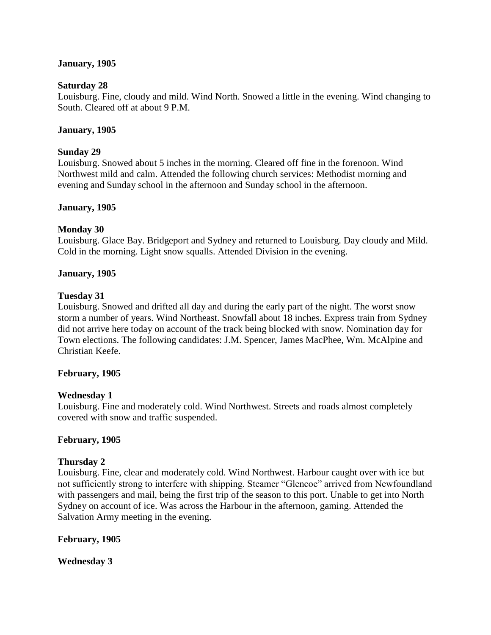## **January, 1905**

## **Saturday 28**

Louisburg. Fine, cloudy and mild. Wind North. Snowed a little in the evening. Wind changing to South. Cleared off at about 9 P.M.

## **January, 1905**

## **Sunday 29**

Louisburg. Snowed about 5 inches in the morning. Cleared off fine in the forenoon. Wind Northwest mild and calm. Attended the following church services: Methodist morning and evening and Sunday school in the afternoon and Sunday school in the afternoon.

## **January, 1905**

#### **Monday 30**

Louisburg. Glace Bay. Bridgeport and Sydney and returned to Louisburg. Day cloudy and Mild. Cold in the morning. Light snow squalls. Attended Division in the evening.

#### **January, 1905**

#### **Tuesday 31**

Louisburg. Snowed and drifted all day and during the early part of the night. The worst snow storm a number of years. Wind Northeast. Snowfall about 18 inches. Express train from Sydney did not arrive here today on account of the track being blocked with snow. Nomination day for Town elections. The following candidates: J.M. Spencer, James MacPhee, Wm. McAlpine and Christian Keefe.

#### **February, 1905**

## **Wednesday 1**

Louisburg. Fine and moderately cold. Wind Northwest. Streets and roads almost completely covered with snow and traffic suspended.

## **February, 1905**

## **Thursday 2**

Louisburg. Fine, clear and moderately cold. Wind Northwest. Harbour caught over with ice but not sufficiently strong to interfere with shipping. Steamer "Glencoe" arrived from Newfoundland with passengers and mail, being the first trip of the season to this port. Unable to get into North Sydney on account of ice. Was across the Harbour in the afternoon, gaming. Attended the Salvation Army meeting in the evening.

## **February, 1905**

**Wednesday 3**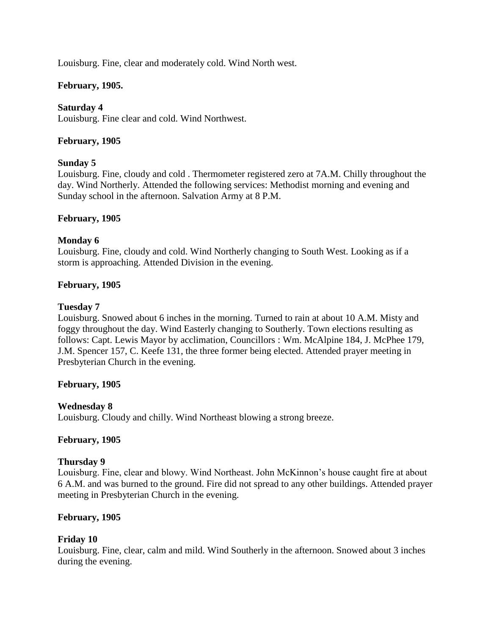Louisburg. Fine, clear and moderately cold. Wind North west.

# **February, 1905.**

## **Saturday 4**

Louisburg. Fine clear and cold. Wind Northwest.

## **February, 1905**

## **Sunday 5**

Louisburg. Fine, cloudy and cold . Thermometer registered zero at 7A.M. Chilly throughout the day. Wind Northerly. Attended the following services: Methodist morning and evening and Sunday school in the afternoon. Salvation Army at 8 P.M.

## **February, 1905**

## **Monday 6**

Louisburg. Fine, cloudy and cold. Wind Northerly changing to South West. Looking as if a storm is approaching. Attended Division in the evening.

## **February, 1905**

## **Tuesday 7**

Louisburg. Snowed about 6 inches in the morning. Turned to rain at about 10 A.M. Misty and foggy throughout the day. Wind Easterly changing to Southerly. Town elections resulting as follows: Capt. Lewis Mayor by acclimation, Councillors : Wm. McAlpine 184, J. McPhee 179, J.M. Spencer 157, C. Keefe 131, the three former being elected. Attended prayer meeting in Presbyterian Church in the evening.

## **February, 1905**

## **Wednesday 8**

Louisburg. Cloudy and chilly. Wind Northeast blowing a strong breeze.

## **February, 1905**

## **Thursday 9**

Louisburg. Fine, clear and blowy. Wind Northeast. John McKinnon"s house caught fire at about 6 A.M. and was burned to the ground. Fire did not spread to any other buildings. Attended prayer meeting in Presbyterian Church in the evening.

# **February, 1905**

## **Friday 10**

Louisburg. Fine, clear, calm and mild. Wind Southerly in the afternoon. Snowed about 3 inches during the evening.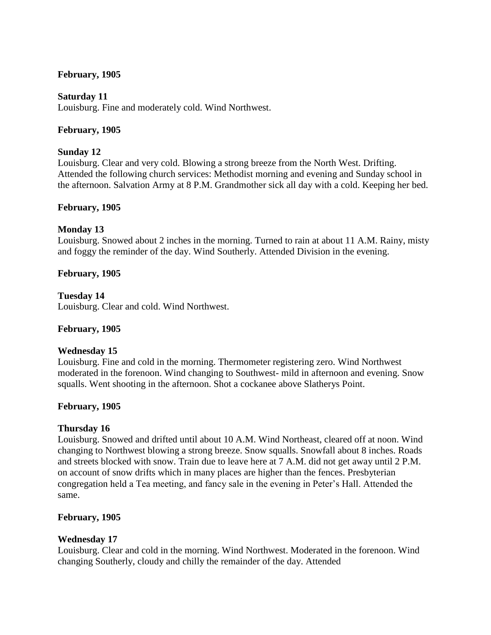## **February, 1905**

## **Saturday 11**

Louisburg. Fine and moderately cold. Wind Northwest.

## **February, 1905**

## **Sunday 12**

Louisburg. Clear and very cold. Blowing a strong breeze from the North West. Drifting. Attended the following church services: Methodist morning and evening and Sunday school in the afternoon. Salvation Army at 8 P.M. Grandmother sick all day with a cold. Keeping her bed.

## **February, 1905**

## **Monday 13**

Louisburg. Snowed about 2 inches in the morning. Turned to rain at about 11 A.M. Rainy, misty and foggy the reminder of the day. Wind Southerly. Attended Division in the evening.

## **February, 1905**

## **Tuesday 14**

Louisburg. Clear and cold. Wind Northwest.

## **February, 1905**

## **Wednesday 15**

Louisburg. Fine and cold in the morning. Thermometer registering zero. Wind Northwest moderated in the forenoon. Wind changing to Southwest- mild in afternoon and evening. Snow squalls. Went shooting in the afternoon. Shot a cockanee above Slatherys Point.

## **February, 1905**

## **Thursday 16**

Louisburg. Snowed and drifted until about 10 A.M. Wind Northeast, cleared off at noon. Wind changing to Northwest blowing a strong breeze. Snow squalls. Snowfall about 8 inches. Roads and streets blocked with snow. Train due to leave here at 7 A.M. did not get away until 2 P.M. on account of snow drifts which in many places are higher than the fences. Presbyterian congregation held a Tea meeting, and fancy sale in the evening in Peter"s Hall. Attended the same.

## **February, 1905**

## **Wednesday 17**

Louisburg. Clear and cold in the morning. Wind Northwest. Moderated in the forenoon. Wind changing Southerly, cloudy and chilly the remainder of the day. Attended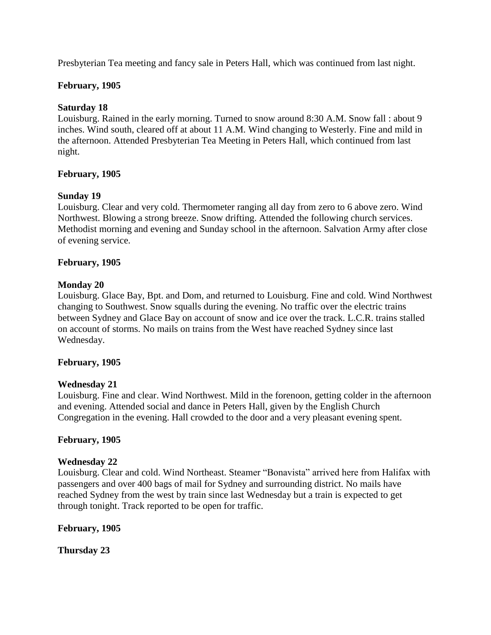Presbyterian Tea meeting and fancy sale in Peters Hall, which was continued from last night.

## **February, 1905**

## **Saturday 18**

Louisburg. Rained in the early morning. Turned to snow around 8:30 A.M. Snow fall : about 9 inches. Wind south, cleared off at about 11 A.M. Wind changing to Westerly. Fine and mild in the afternoon. Attended Presbyterian Tea Meeting in Peters Hall, which continued from last night.

## **February, 1905**

## **Sunday 19**

Louisburg. Clear and very cold. Thermometer ranging all day from zero to 6 above zero. Wind Northwest. Blowing a strong breeze. Snow drifting. Attended the following church services. Methodist morning and evening and Sunday school in the afternoon. Salvation Army after close of evening service.

## **February, 1905**

## **Monday 20**

Louisburg. Glace Bay, Bpt. and Dom, and returned to Louisburg. Fine and cold. Wind Northwest changing to Southwest. Snow squalls during the evening. No traffic over the electric trains between Sydney and Glace Bay on account of snow and ice over the track. L.C.R. trains stalled on account of storms. No mails on trains from the West have reached Sydney since last Wednesday.

## **February, 1905**

## **Wednesday 21**

Louisburg. Fine and clear. Wind Northwest. Mild in the forenoon, getting colder in the afternoon and evening. Attended social and dance in Peters Hall, given by the English Church Congregation in the evening. Hall crowded to the door and a very pleasant evening spent.

## **February, 1905**

## **Wednesday 22**

Louisburg. Clear and cold. Wind Northeast. Steamer "Bonavista" arrived here from Halifax with passengers and over 400 bags of mail for Sydney and surrounding district. No mails have reached Sydney from the west by train since last Wednesday but a train is expected to get through tonight. Track reported to be open for traffic.

## **February, 1905**

**Thursday 23**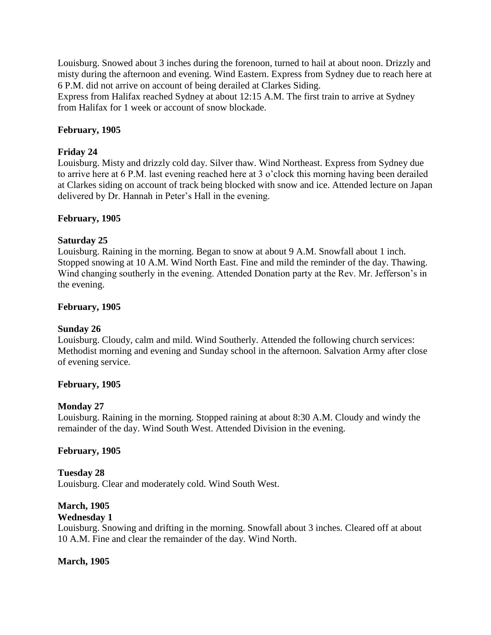Louisburg. Snowed about 3 inches during the forenoon, turned to hail at about noon. Drizzly and misty during the afternoon and evening. Wind Eastern. Express from Sydney due to reach here at 6 P.M. did not arrive on account of being derailed at Clarkes Siding.

Express from Halifax reached Sydney at about 12:15 A.M. The first train to arrive at Sydney from Halifax for 1 week or account of snow blockade.

## **February, 1905**

## **Friday 24**

Louisburg. Misty and drizzly cold day. Silver thaw. Wind Northeast. Express from Sydney due to arrive here at 6 P.M. last evening reached here at 3 o"clock this morning having been derailed at Clarkes siding on account of track being blocked with snow and ice. Attended lecture on Japan delivered by Dr. Hannah in Peter's Hall in the evening.

## **February, 1905**

## **Saturday 25**

Louisburg. Raining in the morning. Began to snow at about 9 A.M. Snowfall about 1 inch. Stopped snowing at 10 A.M. Wind North East. Fine and mild the reminder of the day. Thawing. Wind changing southerly in the evening. Attended Donation party at the Rev. Mr. Jefferson"s in the evening.

## **February, 1905**

## **Sunday 26**

Louisburg. Cloudy, calm and mild. Wind Southerly. Attended the following church services: Methodist morning and evening and Sunday school in the afternoon. Salvation Army after close of evening service.

## **February, 1905**

## **Monday 27**

Louisburg. Raining in the morning. Stopped raining at about 8:30 A.M. Cloudy and windy the remainder of the day. Wind South West. Attended Division in the evening.

## **February, 1905**

# **Tuesday 28**

Louisburg. Clear and moderately cold. Wind South West.

# **March, 1905**

## **Wednesday 1**

Louisburg. Snowing and drifting in the morning. Snowfall about 3 inches. Cleared off at about 10 A.M. Fine and clear the remainder of the day. Wind North.

## **March, 1905**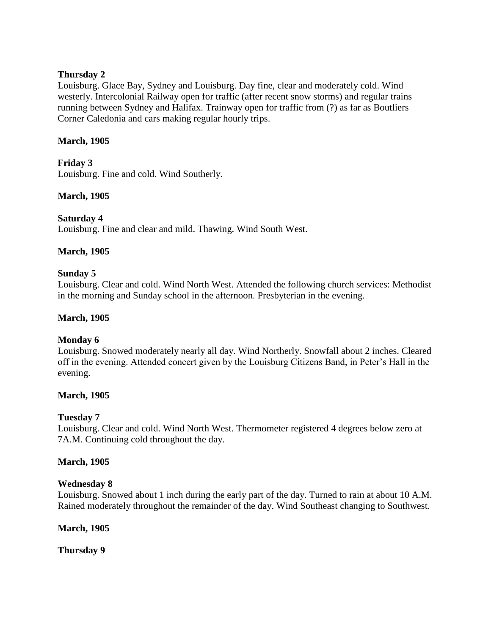## **Thursday 2**

Louisburg. Glace Bay, Sydney and Louisburg. Day fine, clear and moderately cold. Wind westerly. Intercolonial Railway open for traffic (after recent snow storms) and regular trains running between Sydney and Halifax. Trainway open for traffic from (?) as far as Boutliers Corner Caledonia and cars making regular hourly trips.

## **March, 1905**

**Friday 3** Louisburg. Fine and cold. Wind Southerly.

## **March, 1905**

## **Saturday 4**

Louisburg. Fine and clear and mild. Thawing. Wind South West.

## **March, 1905**

## **Sunday 5**

Louisburg. Clear and cold. Wind North West. Attended the following church services: Methodist in the morning and Sunday school in the afternoon. Presbyterian in the evening.

## **March, 1905**

# **Monday 6**

Louisburg. Snowed moderately nearly all day. Wind Northerly. Snowfall about 2 inches. Cleared off in the evening. Attended concert given by the Louisburg Citizens Band, in Peter"s Hall in the evening.

## **March, 1905**

# **Tuesday 7**

Louisburg. Clear and cold. Wind North West. Thermometer registered 4 degrees below zero at 7A.M. Continuing cold throughout the day.

## **March, 1905**

## **Wednesday 8**

Louisburg. Snowed about 1 inch during the early part of the day. Turned to rain at about 10 A.M. Rained moderately throughout the remainder of the day. Wind Southeast changing to Southwest.

## **March, 1905**

**Thursday 9**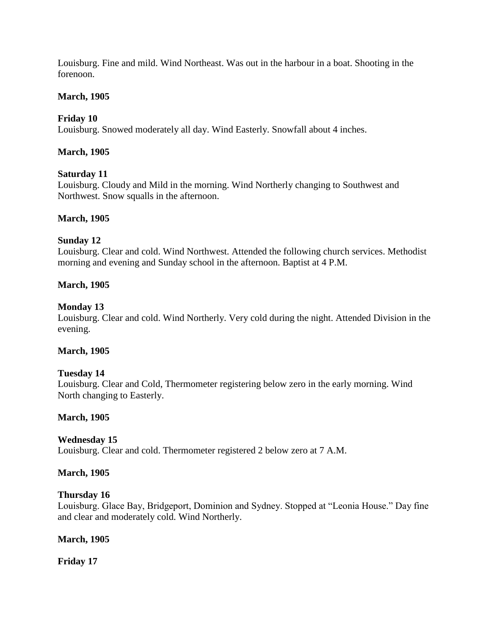Louisburg. Fine and mild. Wind Northeast. Was out in the harbour in a boat. Shooting in the forenoon.

## **March, 1905**

## **Friday 10**

Louisburg. Snowed moderately all day. Wind Easterly. Snowfall about 4 inches.

## **March, 1905**

## **Saturday 11**

Louisburg. Cloudy and Mild in the morning. Wind Northerly changing to Southwest and Northwest. Snow squalls in the afternoon.

## **March, 1905**

## **Sunday 12**

Louisburg. Clear and cold. Wind Northwest. Attended the following church services. Methodist morning and evening and Sunday school in the afternoon. Baptist at 4 P.M.

## **March, 1905**

#### **Monday 13**

Louisburg. Clear and cold. Wind Northerly. Very cold during the night. Attended Division in the evening.

## **March, 1905**

## **Tuesday 14**

Louisburg. Clear and Cold, Thermometer registering below zero in the early morning. Wind North changing to Easterly.

## **March, 1905**

## **Wednesday 15**

Louisburg. Clear and cold. Thermometer registered 2 below zero at 7 A.M.

## **March, 1905**

## **Thursday 16**

Louisburg. Glace Bay, Bridgeport, Dominion and Sydney. Stopped at "Leonia House." Day fine and clear and moderately cold. Wind Northerly.

#### **March, 1905**

**Friday 17**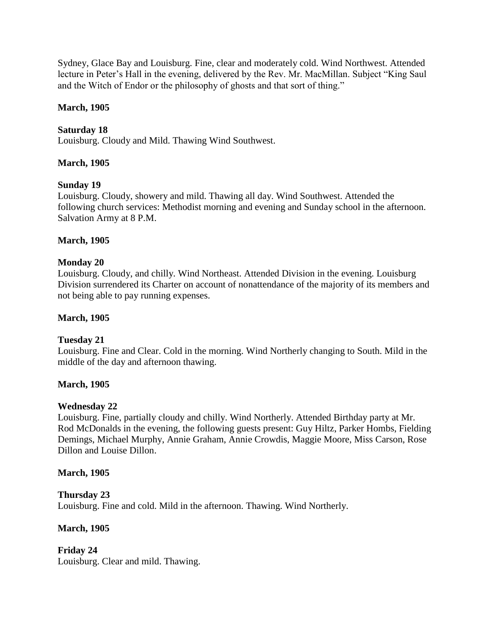Sydney, Glace Bay and Louisburg. Fine, clear and moderately cold. Wind Northwest. Attended lecture in Peter's Hall in the evening, delivered by the Rev. Mr. MacMillan. Subject "King Saul and the Witch of Endor or the philosophy of ghosts and that sort of thing."

## **March, 1905**

# **Saturday 18**

Louisburg. Cloudy and Mild. Thawing Wind Southwest.

## **March, 1905**

## **Sunday 19**

Louisburg. Cloudy, showery and mild. Thawing all day. Wind Southwest. Attended the following church services: Methodist morning and evening and Sunday school in the afternoon. Salvation Army at 8 P.M.

## **March, 1905**

## **Monday 20**

Louisburg. Cloudy, and chilly. Wind Northeast. Attended Division in the evening. Louisburg Division surrendered its Charter on account of nonattendance of the majority of its members and not being able to pay running expenses.

## **March, 1905**

# **Tuesday 21**

Louisburg. Fine and Clear. Cold in the morning. Wind Northerly changing to South. Mild in the middle of the day and afternoon thawing.

## **March, 1905**

## **Wednesday 22**

Louisburg. Fine, partially cloudy and chilly. Wind Northerly. Attended Birthday party at Mr. Rod McDonalds in the evening, the following guests present: Guy Hiltz, Parker Hombs, Fielding Demings, Michael Murphy, Annie Graham, Annie Crowdis, Maggie Moore, Miss Carson, Rose Dillon and Louise Dillon.

## **March, 1905**

# **Thursday 23**

Louisburg. Fine and cold. Mild in the afternoon. Thawing. Wind Northerly.

## **March, 1905**

**Friday 24** Louisburg. Clear and mild. Thawing.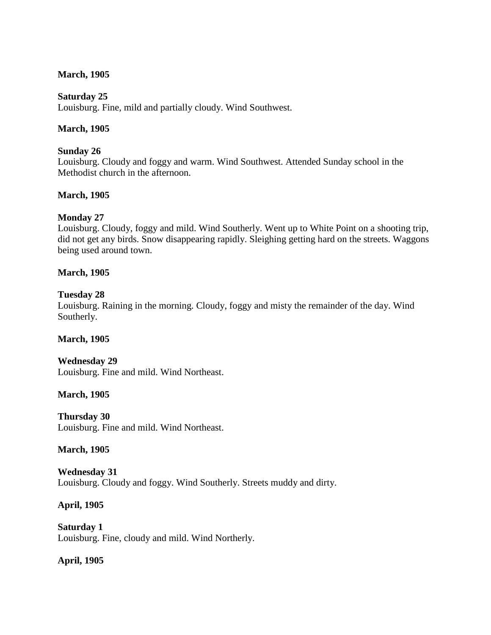## **March, 1905**

## **Saturday 25**

Louisburg. Fine, mild and partially cloudy. Wind Southwest.

## **March, 1905**

## **Sunday 26**

Louisburg. Cloudy and foggy and warm. Wind Southwest. Attended Sunday school in the Methodist church in the afternoon.

## **March, 1905**

# **Monday 27**

Louisburg. Cloudy, foggy and mild. Wind Southerly. Went up to White Point on a shooting trip, did not get any birds. Snow disappearing rapidly. Sleighing getting hard on the streets. Waggons being used around town.

## **March, 1905**

## **Tuesday 28**

Louisburg. Raining in the morning. Cloudy, foggy and misty the remainder of the day. Wind Southerly.

## **March, 1905**

**Wednesday 29** Louisburg. Fine and mild. Wind Northeast.

## **March, 1905**

**Thursday 30** Louisburg. Fine and mild. Wind Northeast.

## **March, 1905**

**Wednesday 31** Louisburg. Cloudy and foggy. Wind Southerly. Streets muddy and dirty.

# **April, 1905**

**Saturday 1** Louisburg. Fine, cloudy and mild. Wind Northerly.

# **April, 1905**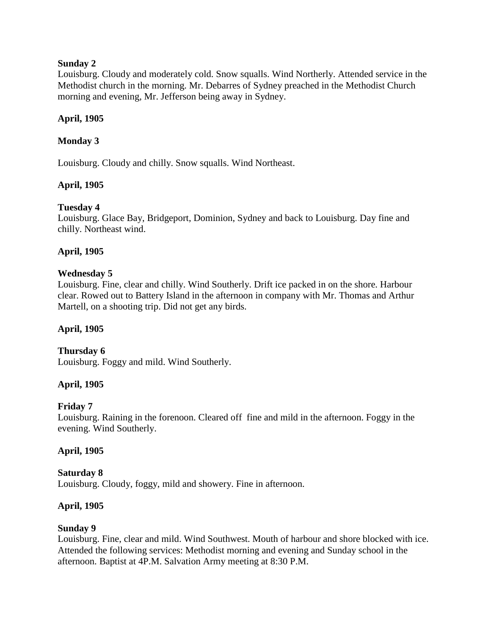## **Sunday 2**

Louisburg. Cloudy and moderately cold. Snow squalls. Wind Northerly. Attended service in the Methodist church in the morning. Mr. Debarres of Sydney preached in the Methodist Church morning and evening, Mr. Jefferson being away in Sydney.

# **April, 1905**

# **Monday 3**

Louisburg. Cloudy and chilly. Snow squalls. Wind Northeast.

# **April, 1905**

# **Tuesday 4**

Louisburg. Glace Bay, Bridgeport, Dominion, Sydney and back to Louisburg. Day fine and chilly. Northeast wind.

# **April, 1905**

# **Wednesday 5**

Louisburg. Fine, clear and chilly. Wind Southerly. Drift ice packed in on the shore. Harbour clear. Rowed out to Battery Island in the afternoon in company with Mr. Thomas and Arthur Martell, on a shooting trip. Did not get any birds.

# **April, 1905**

# **Thursday 6**

Louisburg. Foggy and mild. Wind Southerly.

# **April, 1905**

# **Friday 7**

Louisburg. Raining in the forenoon. Cleared off fine and mild in the afternoon. Foggy in the evening. Wind Southerly.

# **April, 1905**

#### **Saturday 8** Louisburg. Cloudy, foggy, mild and showery. Fine in afternoon.

# **April, 1905**

# **Sunday 9**

Louisburg. Fine, clear and mild. Wind Southwest. Mouth of harbour and shore blocked with ice. Attended the following services: Methodist morning and evening and Sunday school in the afternoon. Baptist at 4P.M. Salvation Army meeting at 8:30 P.M.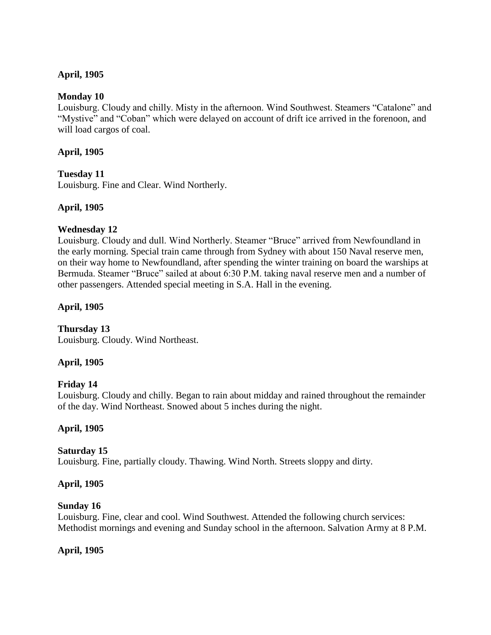# **April, 1905**

## **Monday 10**

Louisburg. Cloudy and chilly. Misty in the afternoon. Wind Southwest. Steamers "Catalone" and "Mystive" and "Coban" which were delayed on account of drift ice arrived in the forenoon, and will load cargos of coal.

## **April, 1905**

# **Tuesday 11**

Louisburg. Fine and Clear. Wind Northerly.

## **April, 1905**

## **Wednesday 12**

Louisburg. Cloudy and dull. Wind Northerly. Steamer "Bruce" arrived from Newfoundland in the early morning. Special train came through from Sydney with about 150 Naval reserve men, on their way home to Newfoundland, after spending the winter training on board the warships at Bermuda. Steamer "Bruce" sailed at about 6:30 P.M. taking naval reserve men and a number of other passengers. Attended special meeting in S.A. Hall in the evening.

# **April, 1905**

#### **Thursday 13** Louisburg. Cloudy. Wind Northeast.

# **April, 1905**

# **Friday 14**

Louisburg. Cloudy and chilly. Began to rain about midday and rained throughout the remainder of the day. Wind Northeast. Snowed about 5 inches during the night.

## **April, 1905**

## **Saturday 15**

Louisburg. Fine, partially cloudy. Thawing. Wind North. Streets sloppy and dirty.

## **April, 1905**

## **Sunday 16**

Louisburg. Fine, clear and cool. Wind Southwest. Attended the following church services: Methodist mornings and evening and Sunday school in the afternoon. Salvation Army at 8 P.M.

# **April, 1905**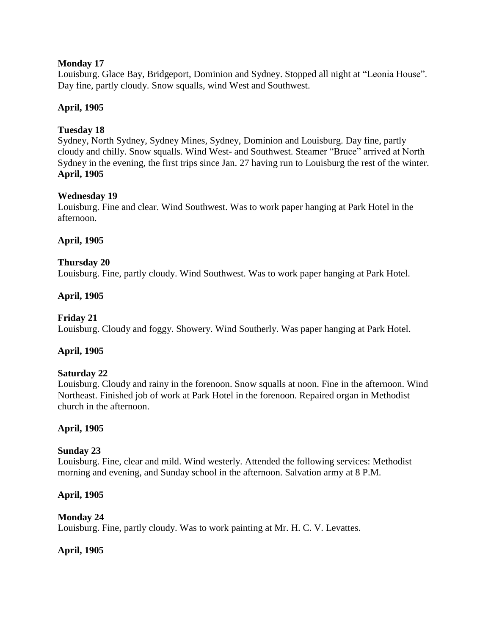## **Monday 17**

Louisburg. Glace Bay, Bridgeport, Dominion and Sydney. Stopped all night at "Leonia House". Day fine, partly cloudy. Snow squalls, wind West and Southwest.

# **April, 1905**

## **Tuesday 18**

Sydney, North Sydney, Sydney Mines, Sydney, Dominion and Louisburg. Day fine, partly cloudy and chilly. Snow squalls. Wind West- and Southwest. Steamer "Bruce" arrived at North Sydney in the evening, the first trips since Jan. 27 having run to Louisburg the rest of the winter. **April, 1905**

## **Wednesday 19**

Louisburg. Fine and clear. Wind Southwest. Was to work paper hanging at Park Hotel in the afternoon.

## **April, 1905**

## **Thursday 20**

Louisburg. Fine, partly cloudy. Wind Southwest. Was to work paper hanging at Park Hotel.

## **April, 1905**

## **Friday 21**

Louisburg. Cloudy and foggy. Showery. Wind Southerly. Was paper hanging at Park Hotel.

## **April, 1905**

## **Saturday 22**

Louisburg. Cloudy and rainy in the forenoon. Snow squalls at noon. Fine in the afternoon. Wind Northeast. Finished job of work at Park Hotel in the forenoon. Repaired organ in Methodist church in the afternoon.

## **April, 1905**

## **Sunday 23**

Louisburg. Fine, clear and mild. Wind westerly. Attended the following services: Methodist morning and evening, and Sunday school in the afternoon. Salvation army at 8 P.M.

## **April, 1905**

## **Monday 24**

Louisburg. Fine, partly cloudy. Was to work painting at Mr. H. C. V. Levattes.

## **April, 1905**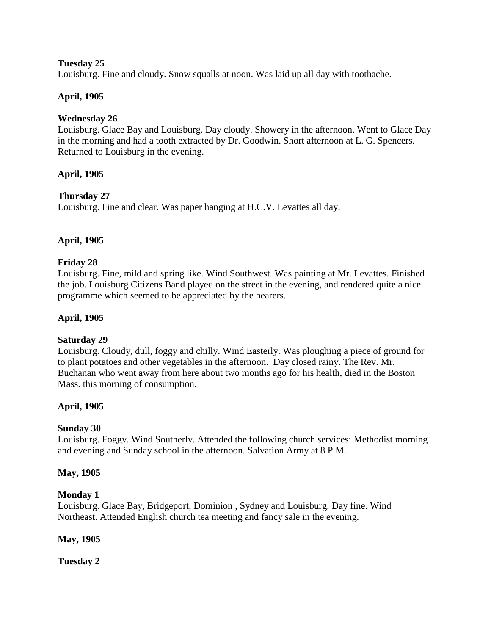## **Tuesday 25**

Louisburg. Fine and cloudy. Snow squalls at noon. Was laid up all day with toothache.

# **April, 1905**

## **Wednesday 26**

Louisburg. Glace Bay and Louisburg. Day cloudy. Showery in the afternoon. Went to Glace Day in the morning and had a tooth extracted by Dr. Goodwin. Short afternoon at L. G. Spencers. Returned to Louisburg in the evening.

## **April, 1905**

## **Thursday 27**

Louisburg. Fine and clear. Was paper hanging at H.C.V. Levattes all day.

## **April, 1905**

## **Friday 28**

Louisburg. Fine, mild and spring like. Wind Southwest. Was painting at Mr. Levattes. Finished the job. Louisburg Citizens Band played on the street in the evening, and rendered quite a nice programme which seemed to be appreciated by the hearers.

## **April, 1905**

## **Saturday 29**

Louisburg. Cloudy, dull, foggy and chilly. Wind Easterly. Was ploughing a piece of ground for to plant potatoes and other vegetables in the afternoon. Day closed rainy. The Rev. Mr. Buchanan who went away from here about two months ago for his health, died in the Boston Mass. this morning of consumption.

## **April, 1905**

## **Sunday 30**

Louisburg. Foggy. Wind Southerly. Attended the following church services: Methodist morning and evening and Sunday school in the afternoon. Salvation Army at 8 P.M.

## **May, 1905**

## **Monday 1**

Louisburg. Glace Bay, Bridgeport, Dominion , Sydney and Louisburg. Day fine. Wind Northeast. Attended English church tea meeting and fancy sale in the evening.

## **May, 1905**

**Tuesday 2**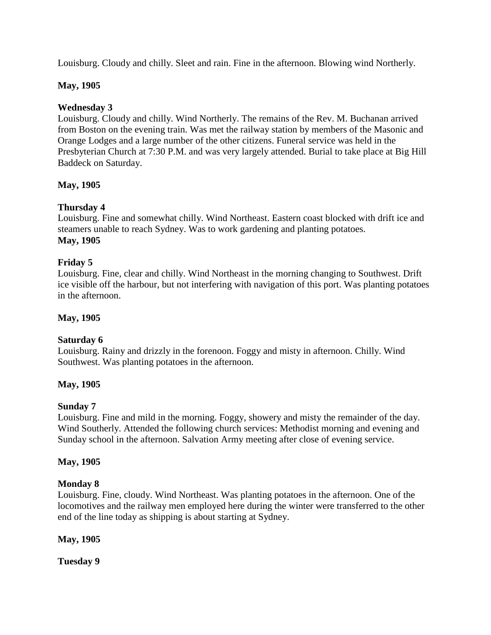Louisburg. Cloudy and chilly. Sleet and rain. Fine in the afternoon. Blowing wind Northerly.

# **May, 1905**

## **Wednesday 3**

Louisburg. Cloudy and chilly. Wind Northerly. The remains of the Rev. M. Buchanan arrived from Boston on the evening train. Was met the railway station by members of the Masonic and Orange Lodges and a large number of the other citizens. Funeral service was held in the Presbyterian Church at 7:30 P.M. and was very largely attended. Burial to take place at Big Hill Baddeck on Saturday.

## **May, 1905**

# **Thursday 4**

Louisburg. Fine and somewhat chilly. Wind Northeast. Eastern coast blocked with drift ice and steamers unable to reach Sydney. Was to work gardening and planting potatoes. **May, 1905**

# **Friday 5**

Louisburg. Fine, clear and chilly. Wind Northeast in the morning changing to Southwest. Drift ice visible off the harbour, but not interfering with navigation of this port. Was planting potatoes in the afternoon.

## **May, 1905**

# **Saturday 6**

Louisburg. Rainy and drizzly in the forenoon. Foggy and misty in afternoon. Chilly. Wind Southwest. Was planting potatoes in the afternoon.

## **May, 1905**

## **Sunday 7**

Louisburg. Fine and mild in the morning. Foggy, showery and misty the remainder of the day. Wind Southerly. Attended the following church services: Methodist morning and evening and Sunday school in the afternoon. Salvation Army meeting after close of evening service.

## **May, 1905**

## **Monday 8**

Louisburg. Fine, cloudy. Wind Northeast. Was planting potatoes in the afternoon. One of the locomotives and the railway men employed here during the winter were transferred to the other end of the line today as shipping is about starting at Sydney.

## **May, 1905**

**Tuesday 9**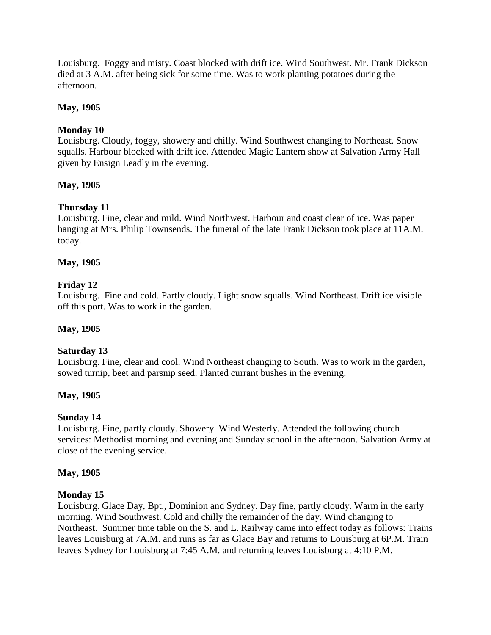Louisburg. Foggy and misty. Coast blocked with drift ice. Wind Southwest. Mr. Frank Dickson died at 3 A.M. after being sick for some time. Was to work planting potatoes during the afternoon.

## **May, 1905**

# **Monday 10**

Louisburg. Cloudy, foggy, showery and chilly. Wind Southwest changing to Northeast. Snow squalls. Harbour blocked with drift ice. Attended Magic Lantern show at Salvation Army Hall given by Ensign Leadly in the evening.

# **May, 1905**

# **Thursday 11**

Louisburg. Fine, clear and mild. Wind Northwest. Harbour and coast clear of ice. Was paper hanging at Mrs. Philip Townsends. The funeral of the late Frank Dickson took place at 11A.M. today.

# **May, 1905**

# **Friday 12**

Louisburg. Fine and cold. Partly cloudy. Light snow squalls. Wind Northeast. Drift ice visible off this port. Was to work in the garden.

# **May, 1905**

# **Saturday 13**

Louisburg. Fine, clear and cool. Wind Northeast changing to South. Was to work in the garden, sowed turnip, beet and parsnip seed. Planted currant bushes in the evening.

# **May, 1905**

# **Sunday 14**

Louisburg. Fine, partly cloudy. Showery. Wind Westerly. Attended the following church services: Methodist morning and evening and Sunday school in the afternoon. Salvation Army at close of the evening service.

## **May, 1905**

# **Monday 15**

Louisburg. Glace Day, Bpt., Dominion and Sydney. Day fine, partly cloudy. Warm in the early morning. Wind Southwest. Cold and chilly the remainder of the day. Wind changing to Northeast. Summer time table on the S. and L. Railway came into effect today as follows: Trains leaves Louisburg at 7A.M. and runs as far as Glace Bay and returns to Louisburg at 6P.M. Train leaves Sydney for Louisburg at 7:45 A.M. and returning leaves Louisburg at 4:10 P.M.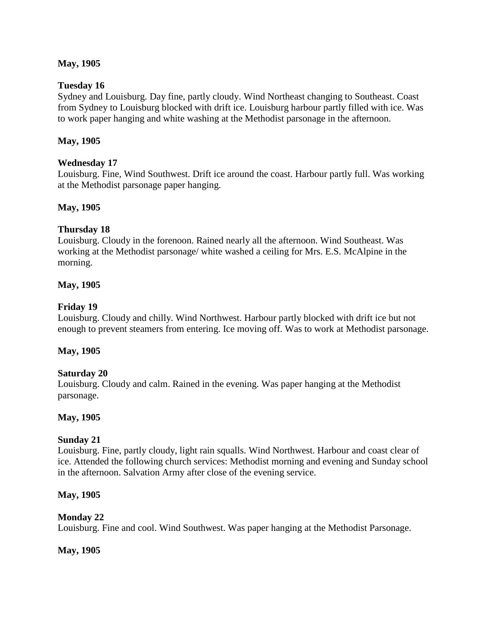## **May, 1905**

## **Tuesday 16**

Sydney and Louisburg. Day fine, partly cloudy. Wind Northeast changing to Southeast. Coast from Sydney to Louisburg blocked with drift ice. Louisburg harbour partly filled with ice. Was to work paper hanging and white washing at the Methodist parsonage in the afternoon.

## **May, 1905**

## **Wednesday 17**

Louisburg. Fine, Wind Southwest. Drift ice around the coast. Harbour partly full. Was working at the Methodist parsonage paper hanging.

## **May, 1905**

## **Thursday 18**

Louisburg. Cloudy in the forenoon. Rained nearly all the afternoon. Wind Southeast. Was working at the Methodist parsonage/ white washed a ceiling for Mrs. E.S. McAlpine in the morning.

## **May, 1905**

## **Friday 19**

Louisburg. Cloudy and chilly. Wind Northwest. Harbour partly blocked with drift ice but not enough to prevent steamers from entering. Ice moving off. Was to work at Methodist parsonage.

## **May, 1905**

## **Saturday 20**

Louisburg. Cloudy and calm. Rained in the evening. Was paper hanging at the Methodist parsonage.

## **May, 1905**

## **Sunday 21**

Louisburg. Fine, partly cloudy, light rain squalls. Wind Northwest. Harbour and coast clear of ice. Attended the following church services: Methodist morning and evening and Sunday school in the afternoon. Salvation Army after close of the evening service.

## **May, 1905**

## **Monday 22**

Louisburg. Fine and cool. Wind Southwest. Was paper hanging at the Methodist Parsonage.

## **May, 1905**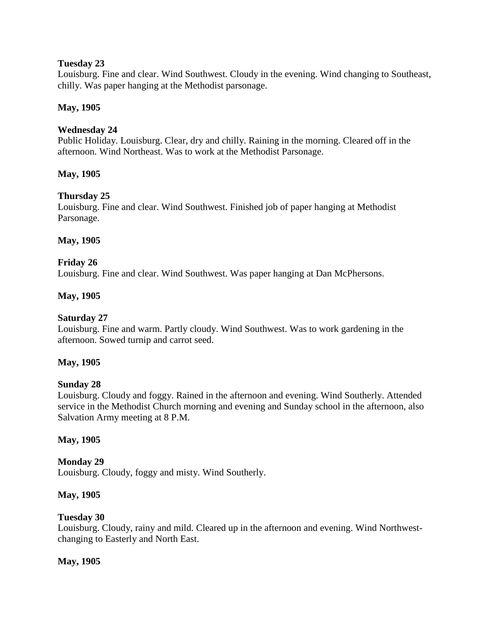## **Tuesday 23**

Louisburg. Fine and clear. Wind Southwest. Cloudy in the evening. Wind changing to Southeast, chilly. Was paper hanging at the Methodist parsonage.

## **May, 1905**

## **Wednesday 24**

Public Holiday. Louisburg. Clear, dry and chilly. Raining in the morning. Cleared off in the afternoon. Wind Northeast. Was to work at the Methodist Parsonage.

## **May, 1905**

## **Thursday 25**

Louisburg. Fine and clear. Wind Southwest. Finished job of paper hanging at Methodist Parsonage.

## **May, 1905**

## **Friday 26**

Louisburg. Fine and clear. Wind Southwest. Was paper hanging at Dan McPhersons.

## **May, 1905**

## **Saturday 27**

Louisburg. Fine and warm. Partly cloudy. Wind Southwest. Was to work gardening in the afternoon. Sowed turnip and carrot seed.

## **May, 1905**

## **Sunday 28**

Louisburg. Cloudy and foggy. Rained in the afternoon and evening. Wind Southerly. Attended service in the Methodist Church morning and evening and Sunday school in the afternoon, also Salvation Army meeting at 8 P.M.

## **May, 1905**

## **Monday 29**

Louisburg. Cloudy, foggy and misty. Wind Southerly.

## **May, 1905**

## **Tuesday 30**

Louisburg. Cloudy, rainy and mild. Cleared up in the afternoon and evening. Wind Northwestchanging to Easterly and North East.

## **May, 1905**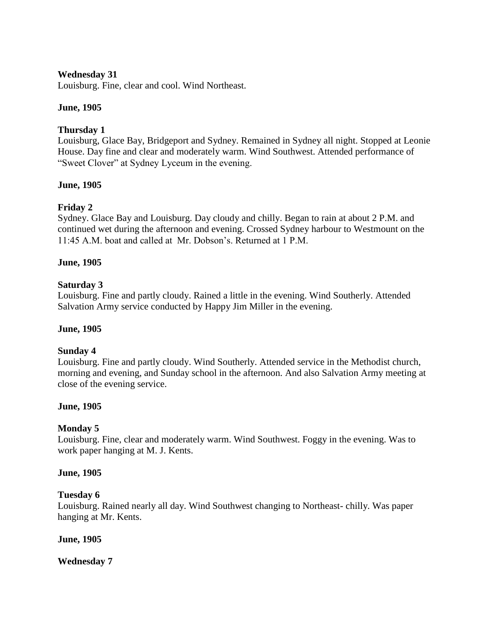## **Wednesday 31**

Louisburg. Fine, clear and cool. Wind Northeast.

## **June, 1905**

## **Thursday 1**

Louisburg, Glace Bay, Bridgeport and Sydney. Remained in Sydney all night. Stopped at Leonie House. Day fine and clear and moderately warm. Wind Southwest. Attended performance of "Sweet Clover" at Sydney Lyceum in the evening.

## **June, 1905**

# **Friday 2**

Sydney. Glace Bay and Louisburg. Day cloudy and chilly. Began to rain at about 2 P.M. and continued wet during the afternoon and evening. Crossed Sydney harbour to Westmount on the 11:45 A.M. boat and called at Mr. Dobson"s. Returned at 1 P.M.

## **June, 1905**

## **Saturday 3**

Louisburg. Fine and partly cloudy. Rained a little in the evening. Wind Southerly. Attended Salvation Army service conducted by Happy Jim Miller in the evening.

## **June, 1905**

## **Sunday 4**

Louisburg. Fine and partly cloudy. Wind Southerly. Attended service in the Methodist church, morning and evening, and Sunday school in the afternoon. And also Salvation Army meeting at close of the evening service.

## **June, 1905**

## **Monday 5**

Louisburg. Fine, clear and moderately warm. Wind Southwest. Foggy in the evening. Was to work paper hanging at M. J. Kents.

## **June, 1905**

## **Tuesday 6**

Louisburg. Rained nearly all day. Wind Southwest changing to Northeast- chilly. Was paper hanging at Mr. Kents.

## **June, 1905**

**Wednesday 7**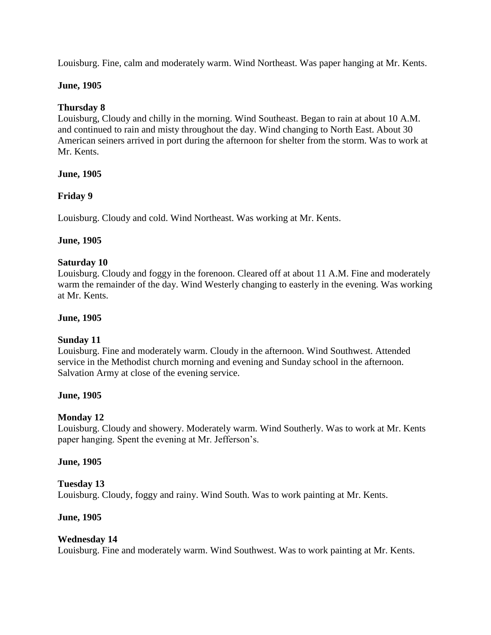Louisburg. Fine, calm and moderately warm. Wind Northeast. Was paper hanging at Mr. Kents.

## **June, 1905**

# **Thursday 8**

Louisburg, Cloudy and chilly in the morning. Wind Southeast. Began to rain at about 10 A.M. and continued to rain and misty throughout the day. Wind changing to North East. About 30 American seiners arrived in port during the afternoon for shelter from the storm. Was to work at Mr. Kents.

## **June, 1905**

## **Friday 9**

Louisburg. Cloudy and cold. Wind Northeast. Was working at Mr. Kents.

## **June, 1905**

## **Saturday 10**

Louisburg. Cloudy and foggy in the forenoon. Cleared off at about 11 A.M. Fine and moderately warm the remainder of the day. Wind Westerly changing to easterly in the evening. Was working at Mr. Kents.

## **June, 1905**

# **Sunday 11**

Louisburg. Fine and moderately warm. Cloudy in the afternoon. Wind Southwest. Attended service in the Methodist church morning and evening and Sunday school in the afternoon. Salvation Army at close of the evening service.

## **June, 1905**

# **Monday 12**

Louisburg. Cloudy and showery. Moderately warm. Wind Southerly. Was to work at Mr. Kents paper hanging. Spent the evening at Mr. Jefferson's.

## **June, 1905**

## **Tuesday 13**

Louisburg. Cloudy, foggy and rainy. Wind South. Was to work painting at Mr. Kents.

## **June, 1905**

## **Wednesday 14**

Louisburg. Fine and moderately warm. Wind Southwest. Was to work painting at Mr. Kents.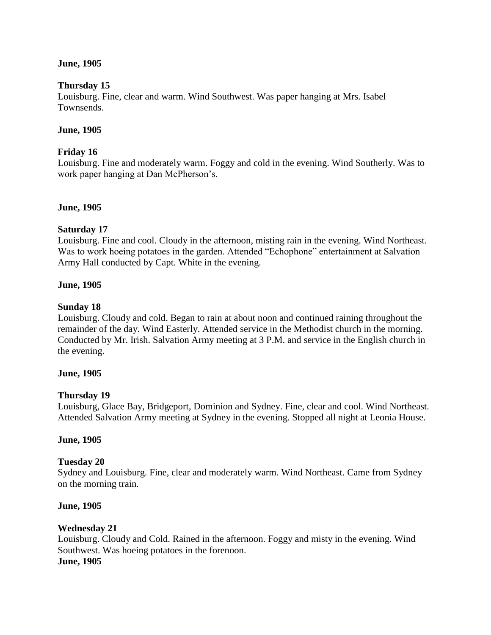## **June, 1905**

## **Thursday 15**

Louisburg. Fine, clear and warm. Wind Southwest. Was paper hanging at Mrs. Isabel Townsends.

## **June, 1905**

## **Friday 16**

Louisburg. Fine and moderately warm. Foggy and cold in the evening. Wind Southerly. Was to work paper hanging at Dan McPherson's.

## **June, 1905**

## **Saturday 17**

Louisburg. Fine and cool. Cloudy in the afternoon, misting rain in the evening. Wind Northeast. Was to work hoeing potatoes in the garden. Attended "Echophone" entertainment at Salvation Army Hall conducted by Capt. White in the evening.

## **June, 1905**

## **Sunday 18**

Louisburg. Cloudy and cold. Began to rain at about noon and continued raining throughout the remainder of the day. Wind Easterly. Attended service in the Methodist church in the morning. Conducted by Mr. Irish. Salvation Army meeting at 3 P.M. and service in the English church in the evening.

## **June, 1905**

## **Thursday 19**

Louisburg, Glace Bay, Bridgeport, Dominion and Sydney. Fine, clear and cool. Wind Northeast. Attended Salvation Army meeting at Sydney in the evening. Stopped all night at Leonia House.

## **June, 1905**

## **Tuesday 20**

Sydney and Louisburg. Fine, clear and moderately warm. Wind Northeast. Came from Sydney on the morning train.

#### **June, 1905**

## **Wednesday 21**

Louisburg. Cloudy and Cold. Rained in the afternoon. Foggy and misty in the evening. Wind Southwest. Was hoeing potatoes in the forenoon. **June, 1905**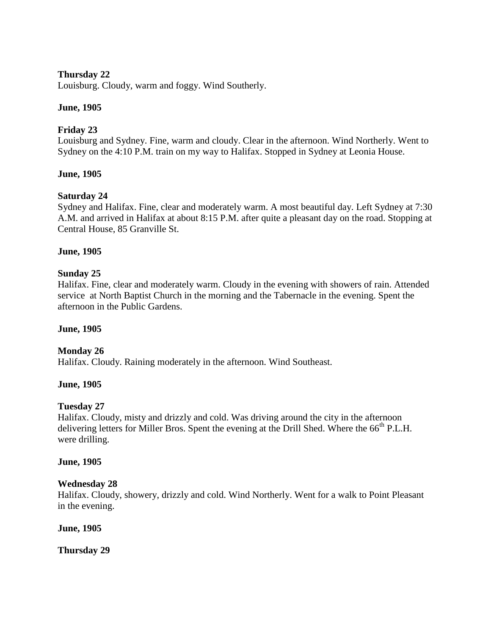# **Thursday 22**

Louisburg. Cloudy, warm and foggy. Wind Southerly.

## **June, 1905**

## **Friday 23**

Louisburg and Sydney. Fine, warm and cloudy. Clear in the afternoon. Wind Northerly. Went to Sydney on the 4:10 P.M. train on my way to Halifax. Stopped in Sydney at Leonia House.

## **June, 1905**

## **Saturday 24**

Sydney and Halifax. Fine, clear and moderately warm. A most beautiful day. Left Sydney at 7:30 A.M. and arrived in Halifax at about 8:15 P.M. after quite a pleasant day on the road. Stopping at Central House, 85 Granville St.

## **June, 1905**

## **Sunday 25**

Halifax. Fine, clear and moderately warm. Cloudy in the evening with showers of rain. Attended service at North Baptist Church in the morning and the Tabernacle in the evening. Spent the afternoon in the Public Gardens.

## **June, 1905**

# **Monday 26**

Halifax. Cloudy. Raining moderately in the afternoon. Wind Southeast.

## **June, 1905**

## **Tuesday 27**

Halifax. Cloudy, misty and drizzly and cold. Was driving around the city in the afternoon delivering letters for Miller Bros. Spent the evening at the Drill Shed. Where the 66<sup>th</sup> P.L.H. were drilling.

## **June, 1905**

## **Wednesday 28**

Halifax. Cloudy, showery, drizzly and cold. Wind Northerly. Went for a walk to Point Pleasant in the evening.

**June, 1905**

**Thursday 29**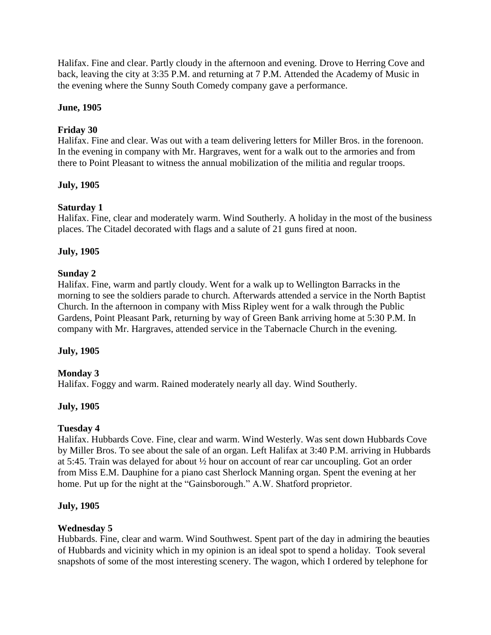Halifax. Fine and clear. Partly cloudy in the afternoon and evening. Drove to Herring Cove and back, leaving the city at 3:35 P.M. and returning at 7 P.M. Attended the Academy of Music in the evening where the Sunny South Comedy company gave a performance.

## **June, 1905**

# **Friday 30**

Halifax. Fine and clear. Was out with a team delivering letters for Miller Bros. in the forenoon. In the evening in company with Mr. Hargraves, went for a walk out to the armories and from there to Point Pleasant to witness the annual mobilization of the militia and regular troops.

# **July, 1905**

# **Saturday 1**

Halifax. Fine, clear and moderately warm. Wind Southerly. A holiday in the most of the business places. The Citadel decorated with flags and a salute of 21 guns fired at noon.

# **July, 1905**

# **Sunday 2**

Halifax. Fine, warm and partly cloudy. Went for a walk up to Wellington Barracks in the morning to see the soldiers parade to church. Afterwards attended a service in the North Baptist Church. In the afternoon in company with Miss Ripley went for a walk through the Public Gardens, Point Pleasant Park, returning by way of Green Bank arriving home at 5:30 P.M. In company with Mr. Hargraves, attended service in the Tabernacle Church in the evening.

# **July, 1905**

# **Monday 3**

Halifax. Foggy and warm. Rained moderately nearly all day. Wind Southerly.

# **July, 1905**

# **Tuesday 4**

Halifax. Hubbards Cove. Fine, clear and warm. Wind Westerly. Was sent down Hubbards Cove by Miller Bros. To see about the sale of an organ. Left Halifax at 3:40 P.M. arriving in Hubbards at 5:45. Train was delayed for about ½ hour on account of rear car uncoupling. Got an order from Miss E.M. Dauphine for a piano cast Sherlock Manning organ. Spent the evening at her home. Put up for the night at the "Gainsborough." A.W. Shatford proprietor.

## **July, 1905**

# **Wednesday 5**

Hubbards. Fine, clear and warm. Wind Southwest. Spent part of the day in admiring the beauties of Hubbards and vicinity which in my opinion is an ideal spot to spend a holiday. Took several snapshots of some of the most interesting scenery. The wagon, which I ordered by telephone for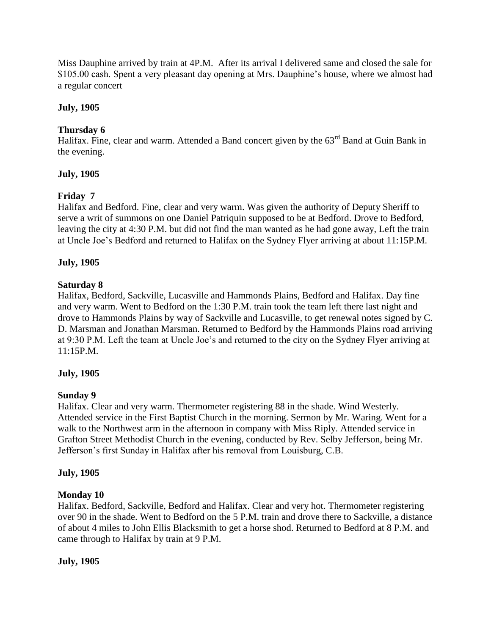Miss Dauphine arrived by train at 4P.M. After its arrival I delivered same and closed the sale for \$105.00 cash. Spent a very pleasant day opening at Mrs. Dauphine"s house, where we almost had a regular concert

# **July, 1905**

# **Thursday 6**

Halifax. Fine, clear and warm. Attended a Band concert given by the 63<sup>rd</sup> Band at Guin Bank in the evening.

# **July, 1905**

# **Friday 7**

Halifax and Bedford. Fine, clear and very warm. Was given the authority of Deputy Sheriff to serve a writ of summons on one Daniel Patriquin supposed to be at Bedford. Drove to Bedford, leaving the city at 4:30 P.M. but did not find the man wanted as he had gone away, Left the train at Uncle Joe"s Bedford and returned to Halifax on the Sydney Flyer arriving at about 11:15P.M.

# **July, 1905**

# **Saturday 8**

Halifax, Bedford, Sackville, Lucasville and Hammonds Plains, Bedford and Halifax. Day fine and very warm. Went to Bedford on the 1:30 P.M. train took the team left there last night and drove to Hammonds Plains by way of Sackville and Lucasville, to get renewal notes signed by C. D. Marsman and Jonathan Marsman. Returned to Bedford by the Hammonds Plains road arriving at 9:30 P.M. Left the team at Uncle Joe"s and returned to the city on the Sydney Flyer arriving at 11:15P.M.

# **July, 1905**

# **Sunday 9**

Halifax. Clear and very warm. Thermometer registering 88 in the shade. Wind Westerly. Attended service in the First Baptist Church in the morning. Sermon by Mr. Waring. Went for a walk to the Northwest arm in the afternoon in company with Miss Riply. Attended service in Grafton Street Methodist Church in the evening, conducted by Rev. Selby Jefferson, being Mr. Jefferson"s first Sunday in Halifax after his removal from Louisburg, C.B.

# **July, 1905**

# **Monday 10**

Halifax. Bedford, Sackville, Bedford and Halifax. Clear and very hot. Thermometer registering over 90 in the shade. Went to Bedford on the 5 P.M. train and drove there to Sackville, a distance of about 4 miles to John Ellis Blacksmith to get a horse shod. Returned to Bedford at 8 P.M. and came through to Halifax by train at 9 P.M.

# **July, 1905**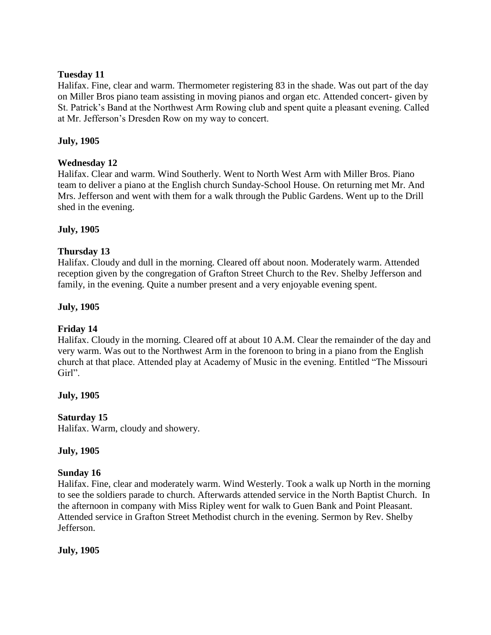## **Tuesday 11**

Halifax. Fine, clear and warm. Thermometer registering 83 in the shade. Was out part of the day on Miller Bros piano team assisting in moving pianos and organ etc. Attended concert- given by St. Patrick"s Band at the Northwest Arm Rowing club and spent quite a pleasant evening. Called at Mr. Jefferson"s Dresden Row on my way to concert.

## **July, 1905**

## **Wednesday 12**

Halifax. Clear and warm. Wind Southerly. Went to North West Arm with Miller Bros. Piano team to deliver a piano at the English church Sunday-School House. On returning met Mr. And Mrs. Jefferson and went with them for a walk through the Public Gardens. Went up to the Drill shed in the evening.

## **July, 1905**

## **Thursday 13**

Halifax. Cloudy and dull in the morning. Cleared off about noon. Moderately warm. Attended reception given by the congregation of Grafton Street Church to the Rev. Shelby Jefferson and family, in the evening. Quite a number present and a very enjoyable evening spent.

## **July, 1905**

## **Friday 14**

Halifax. Cloudy in the morning. Cleared off at about 10 A.M. Clear the remainder of the day and very warm. Was out to the Northwest Arm in the forenoon to bring in a piano from the English church at that place. Attended play at Academy of Music in the evening. Entitled "The Missouri Girl".

## **July, 1905**

## **Saturday 15**

Halifax. Warm, cloudy and showery.

## **July, 1905**

# **Sunday 16**

Halifax. Fine, clear and moderately warm. Wind Westerly. Took a walk up North in the morning to see the soldiers parade to church. Afterwards attended service in the North Baptist Church. In the afternoon in company with Miss Ripley went for walk to Guen Bank and Point Pleasant. Attended service in Grafton Street Methodist church in the evening. Sermon by Rev. Shelby Jefferson.

## **July, 1905**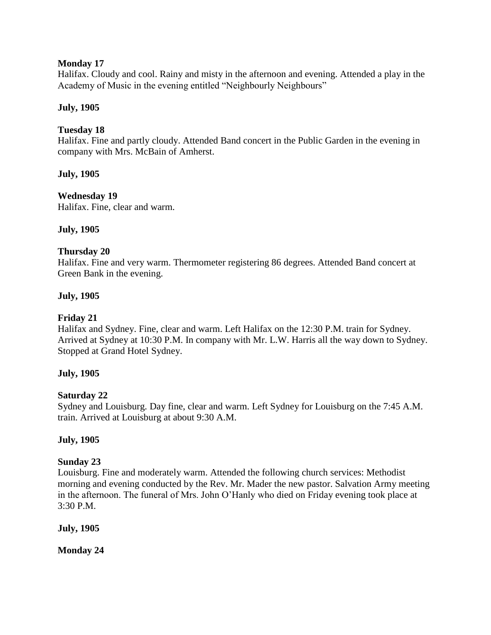## **Monday 17**

Halifax. Cloudy and cool. Rainy and misty in the afternoon and evening. Attended a play in the Academy of Music in the evening entitled "Neighbourly Neighbours"

## **July, 1905**

## **Tuesday 18**

Halifax. Fine and partly cloudy. Attended Band concert in the Public Garden in the evening in company with Mrs. McBain of Amherst.

## **July, 1905**

## **Wednesday 19**

Halifax. Fine, clear and warm.

## **July, 1905**

## **Thursday 20**

Halifax. Fine and very warm. Thermometer registering 86 degrees. Attended Band concert at Green Bank in the evening.

## **July, 1905**

## **Friday 21**

Halifax and Sydney. Fine, clear and warm. Left Halifax on the 12:30 P.M. train for Sydney. Arrived at Sydney at 10:30 P.M. In company with Mr. L.W. Harris all the way down to Sydney. Stopped at Grand Hotel Sydney.

## **July, 1905**

## **Saturday 22**

Sydney and Louisburg. Day fine, clear and warm. Left Sydney for Louisburg on the 7:45 A.M. train. Arrived at Louisburg at about 9:30 A.M.

## **July, 1905**

## **Sunday 23**

Louisburg. Fine and moderately warm. Attended the following church services: Methodist morning and evening conducted by the Rev. Mr. Mader the new pastor. Salvation Army meeting in the afternoon. The funeral of Mrs. John O"Hanly who died on Friday evening took place at 3:30 P.M.

**July, 1905**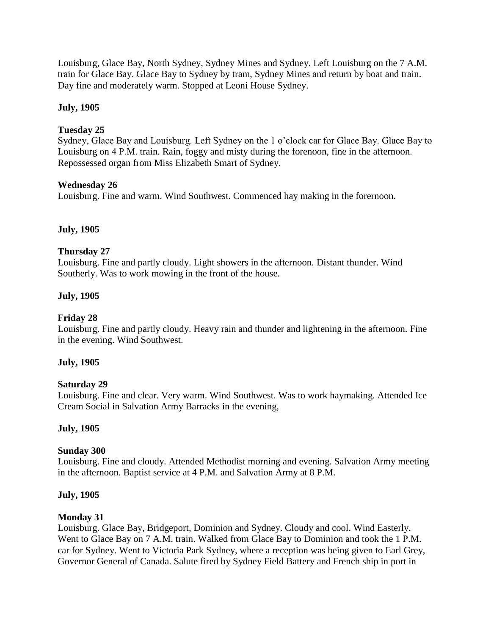Louisburg, Glace Bay, North Sydney, Sydney Mines and Sydney. Left Louisburg on the 7 A.M. train for Glace Bay. Glace Bay to Sydney by tram, Sydney Mines and return by boat and train. Day fine and moderately warm. Stopped at Leoni House Sydney.

## **July, 1905**

## **Tuesday 25**

Sydney, Glace Bay and Louisburg. Left Sydney on the 1 o"clock car for Glace Bay. Glace Bay to Louisburg on 4 P.M. train. Rain, foggy and misty during the forenoon, fine in the afternoon. Repossessed organ from Miss Elizabeth Smart of Sydney.

## **Wednesday 26**

Louisburg. Fine and warm. Wind Southwest. Commenced hay making in the forernoon.

## **July, 1905**

## **Thursday 27**

Louisburg. Fine and partly cloudy. Light showers in the afternoon. Distant thunder. Wind Southerly. Was to work mowing in the front of the house.

## **July, 1905**

## **Friday 28**

Louisburg. Fine and partly cloudy. Heavy rain and thunder and lightening in the afternoon. Fine in the evening. Wind Southwest.

## **July, 1905**

## **Saturday 29**

Louisburg. Fine and clear. Very warm. Wind Southwest. Was to work haymaking. Attended Ice Cream Social in Salvation Army Barracks in the evening,

## **July, 1905**

## **Sunday 300**

Louisburg. Fine and cloudy. Attended Methodist morning and evening. Salvation Army meeting in the afternoon. Baptist service at 4 P.M. and Salvation Army at 8 P.M.

## **July, 1905**

## **Monday 31**

Louisburg. Glace Bay, Bridgeport, Dominion and Sydney. Cloudy and cool. Wind Easterly. Went to Glace Bay on 7 A.M. train. Walked from Glace Bay to Dominion and took the 1 P.M. car for Sydney. Went to Victoria Park Sydney, where a reception was being given to Earl Grey, Governor General of Canada. Salute fired by Sydney Field Battery and French ship in port in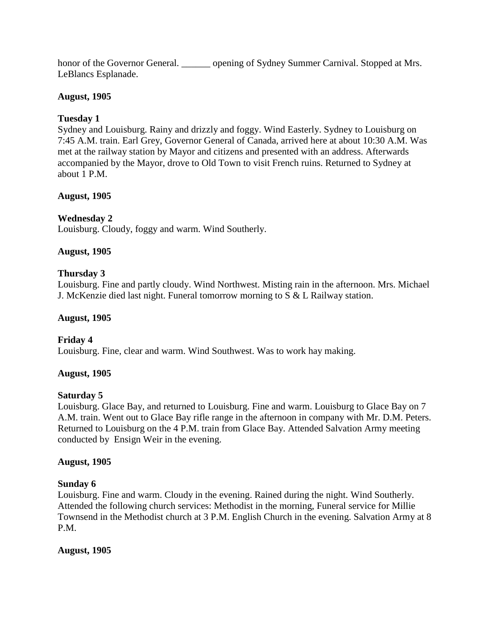honor of the Governor General. \_\_\_\_\_\_\_\_ opening of Sydney Summer Carnival. Stopped at Mrs. LeBlancs Esplanade.

# **August, 1905**

# **Tuesday 1**

Sydney and Louisburg. Rainy and drizzly and foggy. Wind Easterly. Sydney to Louisburg on 7:45 A.M. train. Earl Grey, Governor General of Canada, arrived here at about 10:30 A.M. Was met at the railway station by Mayor and citizens and presented with an address. Afterwards accompanied by the Mayor, drove to Old Town to visit French ruins. Returned to Sydney at about 1 P.M.

# **August, 1905**

# **Wednesday 2**

Louisburg. Cloudy, foggy and warm. Wind Southerly.

# **August, 1905**

# **Thursday 3**

Louisburg. Fine and partly cloudy. Wind Northwest. Misting rain in the afternoon. Mrs. Michael J. McKenzie died last night. Funeral tomorrow morning to S & L Railway station.

# **August, 1905**

# **Friday 4**

Louisburg. Fine, clear and warm. Wind Southwest. Was to work hay making.

# **August, 1905**

# **Saturday 5**

Louisburg. Glace Bay, and returned to Louisburg. Fine and warm. Louisburg to Glace Bay on 7 A.M. train. Went out to Glace Bay rifle range in the afternoon in company with Mr. D.M. Peters. Returned to Louisburg on the 4 P.M. train from Glace Bay. Attended Salvation Army meeting conducted by Ensign Weir in the evening.

# **August, 1905**

# **Sunday 6**

Louisburg. Fine and warm. Cloudy in the evening. Rained during the night. Wind Southerly. Attended the following church services: Methodist in the morning, Funeral service for Millie Townsend in the Methodist church at 3 P.M. English Church in the evening. Salvation Army at 8 P.M.

# **August, 1905**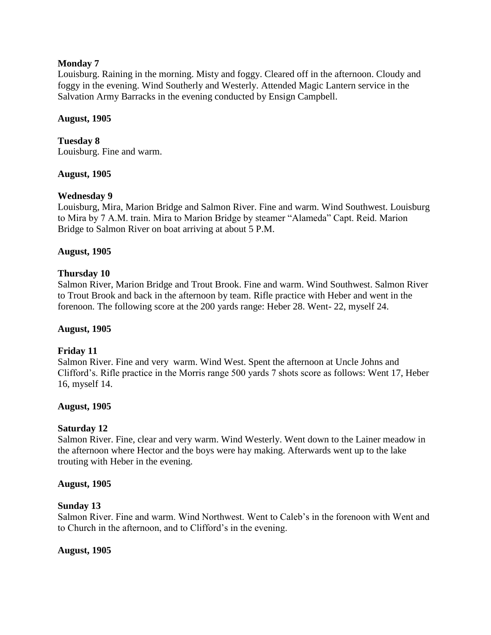## **Monday 7**

Louisburg. Raining in the morning. Misty and foggy. Cleared off in the afternoon. Cloudy and foggy in the evening. Wind Southerly and Westerly. Attended Magic Lantern service in the Salvation Army Barracks in the evening conducted by Ensign Campbell.

## **August, 1905**

**Tuesday 8**

Louisburg. Fine and warm.

# **August, 1905**

# **Wednesday 9**

Louisburg, Mira, Marion Bridge and Salmon River. Fine and warm. Wind Southwest. Louisburg to Mira by 7 A.M. train. Mira to Marion Bridge by steamer "Alameda" Capt. Reid. Marion Bridge to Salmon River on boat arriving at about 5 P.M.

# **August, 1905**

## **Thursday 10**

Salmon River, Marion Bridge and Trout Brook. Fine and warm. Wind Southwest. Salmon River to Trout Brook and back in the afternoon by team. Rifle practice with Heber and went in the forenoon. The following score at the 200 yards range: Heber 28. Went- 22, myself 24.

## **August, 1905**

# **Friday 11**

Salmon River. Fine and very warm. Wind West. Spent the afternoon at Uncle Johns and Clifford"s. Rifle practice in the Morris range 500 yards 7 shots score as follows: Went 17, Heber 16, myself 14.

## **August, 1905**

## **Saturday 12**

Salmon River. Fine, clear and very warm. Wind Westerly. Went down to the Lainer meadow in the afternoon where Hector and the boys were hay making. Afterwards went up to the lake trouting with Heber in the evening.

## **August, 1905**

## **Sunday 13**

Salmon River. Fine and warm. Wind Northwest. Went to Caleb"s in the forenoon with Went and to Church in the afternoon, and to Clifford"s in the evening.

# **August, 1905**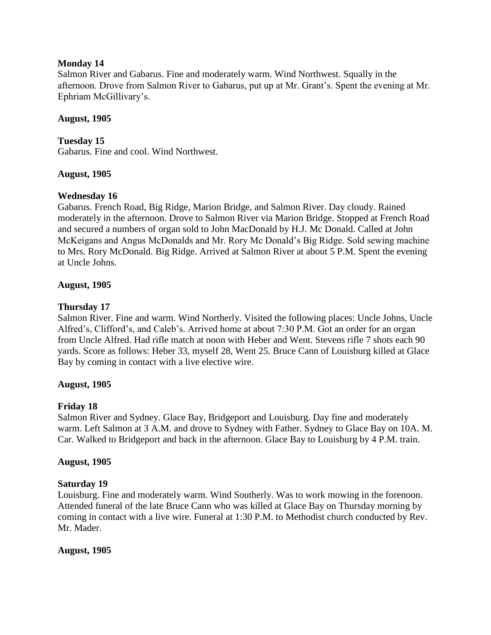## **Monday 14**

Salmon River and Gabarus. Fine and moderately warm. Wind Northwest. Squally in the afternoon. Drove from Salmon River to Gabarus, put up at Mr. Grant"s. Spent the evening at Mr. Ephriam McGillivary"s.

## **August, 1905**

**Tuesday 15** Gabarus. Fine and cool. Wind Northwest.

## **August, 1905**

## **Wednesday 16**

Gabarus. French Road, Big Ridge, Marion Bridge, and Salmon River. Day cloudy. Rained moderately in the afternoon. Drove to Salmon River via Marion Bridge. Stopped at French Road and secured a numbers of organ sold to John MacDonald by H.J. Mc Donald. Called at John McKeigans and Angus McDonalds and Mr. Rory Mc Donald"s Big Ridge. Sold sewing machine to Mrs. Rory McDonald. Big Ridge. Arrived at Salmon River at about 5 P.M. Spent the evening at Uncle Johns.

## **August, 1905**

## **Thursday 17**

Salmon River. Fine and warm. Wind Northerly. Visited the following places: Uncle Johns, Uncle Alfred's, Clifford's, and Caleb's. Arrived home at about 7:30 P.M. Got an order for an organ from Uncle Alfred. Had rifle match at noon with Heber and Went. Stevens rifle 7 shots each 90 yards. Score as follows: Heber 33, myself 28, Went 25. Bruce Cann of Louisburg killed at Glace Bay by coming in contact with a live elective wire.

## **August, 1905**

## **Friday 18**

Salmon River and Sydney. Glace Bay, Bridgeport and Louisburg. Day fine and moderately warm. Left Salmon at 3 A.M. and drove to Sydney with Father. Sydney to Glace Bay on 10A. M. Car. Walked to Bridgeport and back in the afternoon. Glace Bay to Louisburg by 4 P.M. train.

## **August, 1905**

## **Saturday 19**

Louisburg. Fine and moderately warm. Wind Southerly. Was to work mowing in the forenoon. Attended funeral of the late Bruce Cann who was killed at Glace Bay on Thursday morning by coming in contact with a live wire. Funeral at 1:30 P.M. to Methodist church conducted by Rev. Mr. Mader.

## **August, 1905**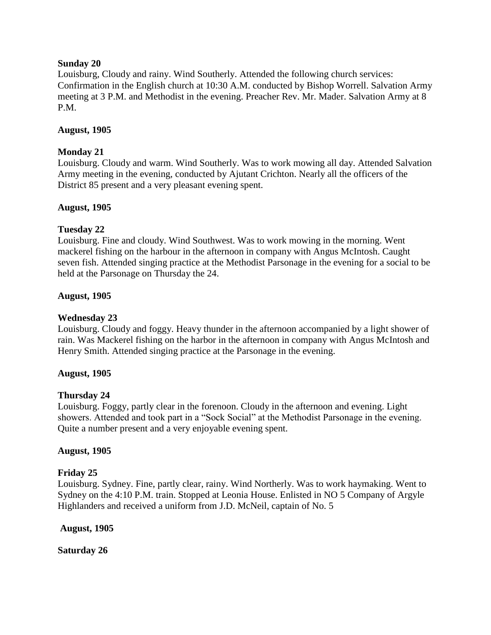## **Sunday 20**

Louisburg, Cloudy and rainy. Wind Southerly. Attended the following church services: Confirmation in the English church at 10:30 A.M. conducted by Bishop Worrell. Salvation Army meeting at 3 P.M. and Methodist in the evening. Preacher Rev. Mr. Mader. Salvation Army at 8 P.M.

## **August, 1905**

## **Monday 21**

Louisburg. Cloudy and warm. Wind Southerly. Was to work mowing all day. Attended Salvation Army meeting in the evening, conducted by Ajutant Crichton. Nearly all the officers of the District 85 present and a very pleasant evening spent.

## **August, 1905**

## **Tuesday 22**

Louisburg. Fine and cloudy. Wind Southwest. Was to work mowing in the morning. Went mackerel fishing on the harbour in the afternoon in company with Angus McIntosh. Caught seven fish. Attended singing practice at the Methodist Parsonage in the evening for a social to be held at the Parsonage on Thursday the 24.

## **August, 1905**

## **Wednesday 23**

Louisburg. Cloudy and foggy. Heavy thunder in the afternoon accompanied by a light shower of rain. Was Mackerel fishing on the harbor in the afternoon in company with Angus McIntosh and Henry Smith. Attended singing practice at the Parsonage in the evening.

## **August, 1905**

## **Thursday 24**

Louisburg. Foggy, partly clear in the forenoon. Cloudy in the afternoon and evening. Light showers. Attended and took part in a "Sock Social" at the Methodist Parsonage in the evening. Quite a number present and a very enjoyable evening spent.

## **August, 1905**

## **Friday 25**

Louisburg. Sydney. Fine, partly clear, rainy. Wind Northerly. Was to work haymaking. Went to Sydney on the 4:10 P.M. train. Stopped at Leonia House. Enlisted in NO 5 Company of Argyle Highlanders and received a uniform from J.D. McNeil, captain of No. 5

**August, 1905**

**Saturday 26**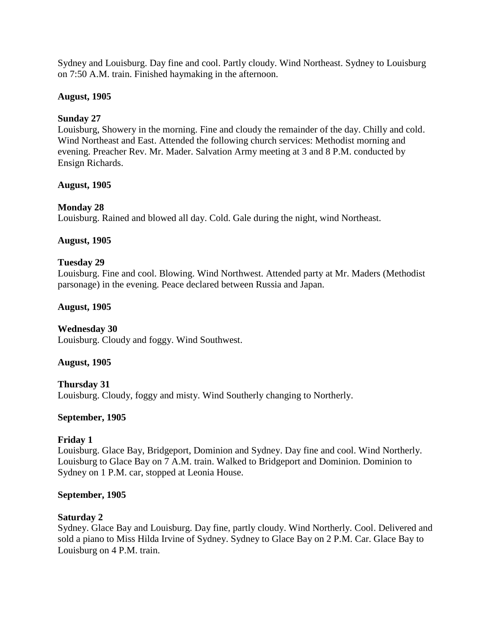Sydney and Louisburg. Day fine and cool. Partly cloudy. Wind Northeast. Sydney to Louisburg on 7:50 A.M. train. Finished haymaking in the afternoon.

## **August, 1905**

## **Sunday 27**

Louisburg, Showery in the morning. Fine and cloudy the remainder of the day. Chilly and cold. Wind Northeast and East. Attended the following church services: Methodist morning and evening. Preacher Rev. Mr. Mader. Salvation Army meeting at 3 and 8 P.M. conducted by Ensign Richards.

## **August, 1905**

# **Monday 28**

Louisburg. Rained and blowed all day. Cold. Gale during the night, wind Northeast.

## **August, 1905**

## **Tuesday 29**

Louisburg. Fine and cool. Blowing. Wind Northwest. Attended party at Mr. Maders (Methodist parsonage) in the evening. Peace declared between Russia and Japan.

## **August, 1905**

# **Wednesday 30**

Louisburg. Cloudy and foggy. Wind Southwest.

## **August, 1905**

**Thursday 31** Louisburg. Cloudy, foggy and misty. Wind Southerly changing to Northerly.

## **September, 1905**

## **Friday 1**

Louisburg. Glace Bay, Bridgeport, Dominion and Sydney. Day fine and cool. Wind Northerly. Louisburg to Glace Bay on 7 A.M. train. Walked to Bridgeport and Dominion. Dominion to Sydney on 1 P.M. car, stopped at Leonia House.

## **September, 1905**

## **Saturday 2**

Sydney. Glace Bay and Louisburg. Day fine, partly cloudy. Wind Northerly. Cool. Delivered and sold a piano to Miss Hilda Irvine of Sydney. Sydney to Glace Bay on 2 P.M. Car. Glace Bay to Louisburg on 4 P.M. train.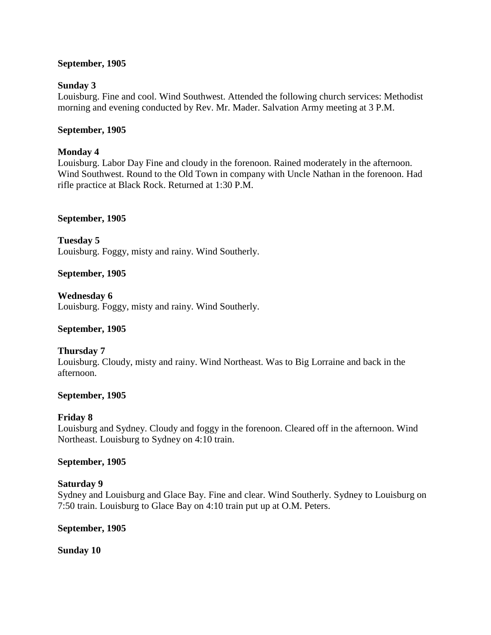## **September, 1905**

## **Sunday 3**

Louisburg. Fine and cool. Wind Southwest. Attended the following church services: Methodist morning and evening conducted by Rev. Mr. Mader. Salvation Army meeting at 3 P.M.

## **September, 1905**

## **Monday 4**

Louisburg. Labor Day Fine and cloudy in the forenoon. Rained moderately in the afternoon. Wind Southwest. Round to the Old Town in company with Uncle Nathan in the forenoon. Had rifle practice at Black Rock. Returned at 1:30 P.M.

## **September, 1905**

**Tuesday 5**  Louisburg. Foggy, misty and rainy. Wind Southerly.

## **September, 1905**

**Wednesday 6** Louisburg. Foggy, misty and rainy. Wind Southerly.

# **September, 1905**

# **Thursday 7**

Louisburg. Cloudy, misty and rainy. Wind Northeast. Was to Big Lorraine and back in the afternoon.

## **September, 1905**

# **Friday 8**

Louisburg and Sydney. Cloudy and foggy in the forenoon. Cleared off in the afternoon. Wind Northeast. Louisburg to Sydney on 4:10 train.

## **September, 1905**

## **Saturday 9**

Sydney and Louisburg and Glace Bay. Fine and clear. Wind Southerly. Sydney to Louisburg on 7:50 train. Louisburg to Glace Bay on 4:10 train put up at O.M. Peters.

## **September, 1905**

**Sunday 10**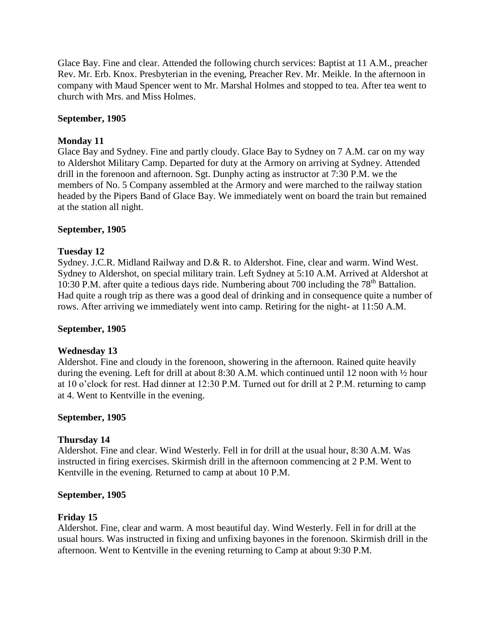Glace Bay. Fine and clear. Attended the following church services: Baptist at 11 A.M., preacher Rev. Mr. Erb. Knox. Presbyterian in the evening, Preacher Rev. Mr. Meikle. In the afternoon in company with Maud Spencer went to Mr. Marshal Holmes and stopped to tea. After tea went to church with Mrs. and Miss Holmes.

## **September, 1905**

## **Monday 11**

Glace Bay and Sydney. Fine and partly cloudy. Glace Bay to Sydney on 7 A.M. car on my way to Aldershot Military Camp. Departed for duty at the Armory on arriving at Sydney. Attended drill in the forenoon and afternoon. Sgt. Dunphy acting as instructor at 7:30 P.M. we the members of No. 5 Company assembled at the Armory and were marched to the railway station headed by the Pipers Band of Glace Bay. We immediately went on board the train but remained at the station all night.

## **September, 1905**

## **Tuesday 12**

Sydney. J.C.R. Midland Railway and D.& R. to Aldershot. Fine, clear and warm. Wind West. Sydney to Aldershot, on special military train. Left Sydney at 5:10 A.M. Arrived at Aldershot at 10:30 P.M. after quite a tedious days ride. Numbering about 700 including the  $78<sup>th</sup>$  Battalion. Had quite a rough trip as there was a good deal of drinking and in consequence quite a number of rows. After arriving we immediately went into camp. Retiring for the night- at 11:50 A.M.

## **September, 1905**

## **Wednesday 13**

Aldershot. Fine and cloudy in the forenoon, showering in the afternoon. Rained quite heavily during the evening. Left for drill at about 8:30 A.M. which continued until 12 noon with ½ hour at 10 o"clock for rest. Had dinner at 12:30 P.M. Turned out for drill at 2 P.M. returning to camp at 4. Went to Kentville in the evening.

## **September, 1905**

## **Thursday 14**

Aldershot. Fine and clear. Wind Westerly. Fell in for drill at the usual hour, 8:30 A.M. Was instructed in firing exercises. Skirmish drill in the afternoon commencing at 2 P.M. Went to Kentville in the evening. Returned to camp at about 10 P.M.

## **September, 1905**

## **Friday 15**

Aldershot. Fine, clear and warm. A most beautiful day. Wind Westerly. Fell in for drill at the usual hours. Was instructed in fixing and unfixing bayones in the forenoon. Skirmish drill in the afternoon. Went to Kentville in the evening returning to Camp at about 9:30 P.M.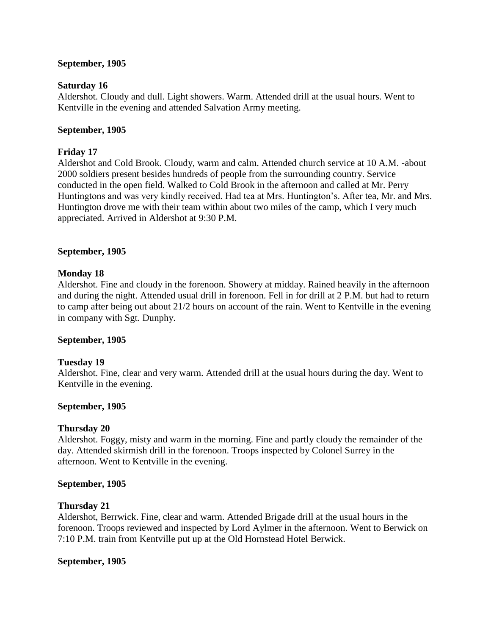## **September, 1905**

#### **Saturday 16**

Aldershot. Cloudy and dull. Light showers. Warm. Attended drill at the usual hours. Went to Kentville in the evening and attended Salvation Army meeting.

#### **September, 1905**

## **Friday 17**

Aldershot and Cold Brook. Cloudy, warm and calm. Attended church service at 10 A.M. -about 2000 soldiers present besides hundreds of people from the surrounding country. Service conducted in the open field. Walked to Cold Brook in the afternoon and called at Mr. Perry Huntingtons and was very kindly received. Had tea at Mrs. Huntington"s. After tea, Mr. and Mrs. Huntington drove me with their team within about two miles of the camp, which I very much appreciated. Arrived in Aldershot at 9:30 P.M.

#### **September, 1905**

## **Monday 18**

Aldershot. Fine and cloudy in the forenoon. Showery at midday. Rained heavily in the afternoon and during the night. Attended usual drill in forenoon. Fell in for drill at 2 P.M. but had to return to camp after being out about 21/2 hours on account of the rain. Went to Kentville in the evening in company with Sgt. Dunphy.

#### **September, 1905**

#### **Tuesday 19**

Aldershot. Fine, clear and very warm. Attended drill at the usual hours during the day. Went to Kentville in the evening.

#### **September, 1905**

#### **Thursday 20**

Aldershot. Foggy, misty and warm in the morning. Fine and partly cloudy the remainder of the day. Attended skirmish drill in the forenoon. Troops inspected by Colonel Surrey in the afternoon. Went to Kentville in the evening.

#### **September, 1905**

#### **Thursday 21**

Aldershot, Berrwick. Fine, clear and warm. Attended Brigade drill at the usual hours in the forenoon. Troops reviewed and inspected by Lord Aylmer in the afternoon. Went to Berwick on 7:10 P.M. train from Kentville put up at the Old Hornstead Hotel Berwick.

#### **September, 1905**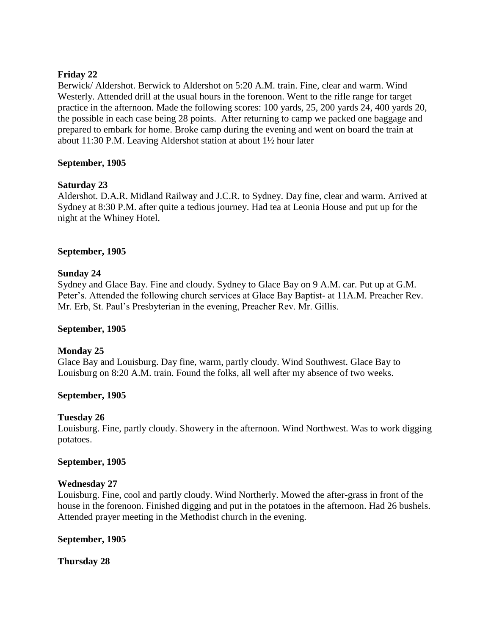## **Friday 22**

Berwick/ Aldershot. Berwick to Aldershot on 5:20 A.M. train. Fine, clear and warm. Wind Westerly. Attended drill at the usual hours in the forenoon. Went to the rifle range for target practice in the afternoon. Made the following scores: 100 yards, 25, 200 yards 24, 400 yards 20, the possible in each case being 28 points. After returning to camp we packed one baggage and prepared to embark for home. Broke camp during the evening and went on board the train at about 11:30 P.M. Leaving Aldershot station at about 1½ hour later

## **September, 1905**

## **Saturday 23**

Aldershot. D.A.R. Midland Railway and J.C.R. to Sydney. Day fine, clear and warm. Arrived at Sydney at 8:30 P.M. after quite a tedious journey. Had tea at Leonia House and put up for the night at the Whiney Hotel.

## **September, 1905**

## **Sunday 24**

Sydney and Glace Bay. Fine and cloudy. Sydney to Glace Bay on 9 A.M. car. Put up at G.M. Peter"s. Attended the following church services at Glace Bay Baptist- at 11A.M. Preacher Rev. Mr. Erb, St. Paul"s Presbyterian in the evening, Preacher Rev. Mr. Gillis.

## **September, 1905**

# **Monday 25**

Glace Bay and Louisburg. Day fine, warm, partly cloudy. Wind Southwest. Glace Bay to Louisburg on 8:20 A.M. train. Found the folks, all well after my absence of two weeks.

## **September, 1905**

# **Tuesday 26**

Louisburg. Fine, partly cloudy. Showery in the afternoon. Wind Northwest. Was to work digging potatoes.

## **September, 1905**

## **Wednesday 27**

Louisburg. Fine, cool and partly cloudy. Wind Northerly. Mowed the after-grass in front of the house in the forenoon. Finished digging and put in the potatoes in the afternoon. Had 26 bushels. Attended prayer meeting in the Methodist church in the evening.

## **September, 1905**

**Thursday 28**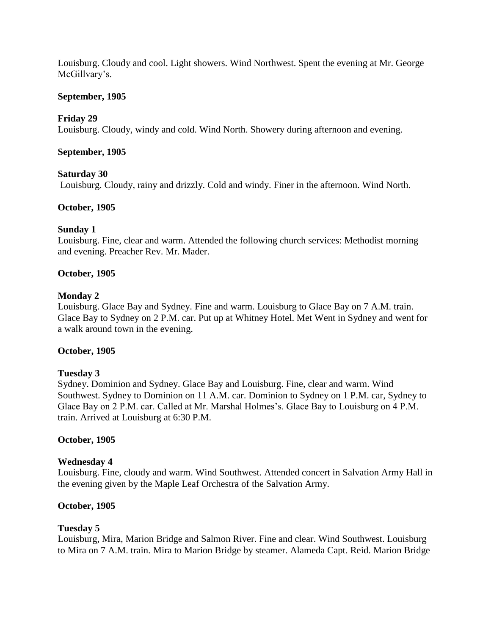Louisburg. Cloudy and cool. Light showers. Wind Northwest. Spent the evening at Mr. George McGillvary"s.

## **September, 1905**

## **Friday 29**

Louisburg. Cloudy, windy and cold. Wind North. Showery during afternoon and evening.

## **September, 1905**

## **Saturday 30**

Louisburg. Cloudy, rainy and drizzly. Cold and windy. Finer in the afternoon. Wind North.

## **October, 1905**

## **Sunday 1**

Louisburg. Fine, clear and warm. Attended the following church services: Methodist morning and evening. Preacher Rev. Mr. Mader.

## **October, 1905**

## **Monday 2**

Louisburg. Glace Bay and Sydney. Fine and warm. Louisburg to Glace Bay on 7 A.M. train. Glace Bay to Sydney on 2 P.M. car. Put up at Whitney Hotel. Met Went in Sydney and went for a walk around town in the evening.

## **October, 1905**

## **Tuesday 3**

Sydney. Dominion and Sydney. Glace Bay and Louisburg. Fine, clear and warm. Wind Southwest. Sydney to Dominion on 11 A.M. car. Dominion to Sydney on 1 P.M. car, Sydney to Glace Bay on 2 P.M. car. Called at Mr. Marshal Holmes's. Glace Bay to Louisburg on 4 P.M. train. Arrived at Louisburg at 6:30 P.M.

## **October, 1905**

## **Wednesday 4**

Louisburg. Fine, cloudy and warm. Wind Southwest. Attended concert in Salvation Army Hall in the evening given by the Maple Leaf Orchestra of the Salvation Army.

## **October, 1905**

# **Tuesday 5**

Louisburg, Mira, Marion Bridge and Salmon River. Fine and clear. Wind Southwest. Louisburg to Mira on 7 A.M. train. Mira to Marion Bridge by steamer. Alameda Capt. Reid. Marion Bridge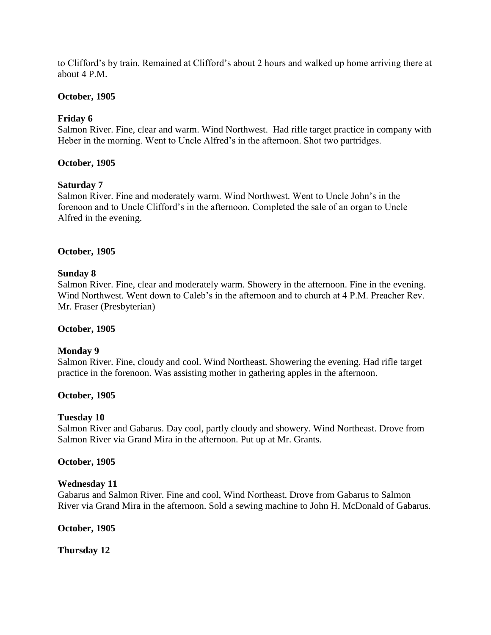to Clifford"s by train. Remained at Clifford"s about 2 hours and walked up home arriving there at about 4 P.M.

## **October, 1905**

## **Friday 6**

Salmon River. Fine, clear and warm. Wind Northwest. Had rifle target practice in company with Heber in the morning. Went to Uncle Alfred"s in the afternoon. Shot two partridges.

## **October, 1905**

## **Saturday 7**

Salmon River. Fine and moderately warm. Wind Northwest. Went to Uncle John"s in the forenoon and to Uncle Clifford"s in the afternoon. Completed the sale of an organ to Uncle Alfred in the evening.

## **October, 1905**

## **Sunday 8**

Salmon River. Fine, clear and moderately warm. Showery in the afternoon. Fine in the evening. Wind Northwest. Went down to Caleb's in the afternoon and to church at 4 P.M. Preacher Rev. Mr. Fraser (Presbyterian)

## **October, 1905**

## **Monday 9**

Salmon River. Fine, cloudy and cool. Wind Northeast. Showering the evening. Had rifle target practice in the forenoon. Was assisting mother in gathering apples in the afternoon.

## **October, 1905**

## **Tuesday 10**

Salmon River and Gabarus. Day cool, partly cloudy and showery. Wind Northeast. Drove from Salmon River via Grand Mira in the afternoon. Put up at Mr. Grants.

## **October, 1905**

## **Wednesday 11**

Gabarus and Salmon River. Fine and cool, Wind Northeast. Drove from Gabarus to Salmon River via Grand Mira in the afternoon. Sold a sewing machine to John H. McDonald of Gabarus.

## **October, 1905**

**Thursday 12**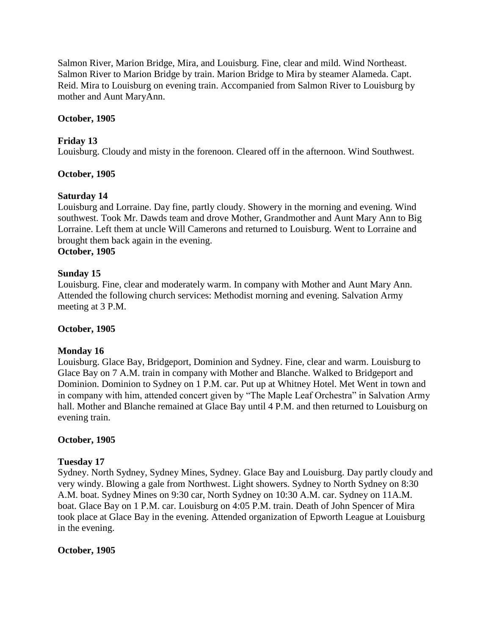Salmon River, Marion Bridge, Mira, and Louisburg. Fine, clear and mild. Wind Northeast. Salmon River to Marion Bridge by train. Marion Bridge to Mira by steamer Alameda. Capt. Reid. Mira to Louisburg on evening train. Accompanied from Salmon River to Louisburg by mother and Aunt MaryAnn.

## **October, 1905**

## **Friday 13**

Louisburg. Cloudy and misty in the forenoon. Cleared off in the afternoon. Wind Southwest.

## **October, 1905**

## **Saturday 14**

Louisburg and Lorraine. Day fine, partly cloudy. Showery in the morning and evening. Wind southwest. Took Mr. Dawds team and drove Mother, Grandmother and Aunt Mary Ann to Big Lorraine. Left them at uncle Will Camerons and returned to Louisburg. Went to Lorraine and brought them back again in the evening.

# **October, 1905**

## **Sunday 15**

Louisburg. Fine, clear and moderately warm. In company with Mother and Aunt Mary Ann. Attended the following church services: Methodist morning and evening. Salvation Army meeting at 3 P.M.

## **October, 1905**

## **Monday 16**

Louisburg. Glace Bay, Bridgeport, Dominion and Sydney. Fine, clear and warm. Louisburg to Glace Bay on 7 A.M. train in company with Mother and Blanche. Walked to Bridgeport and Dominion. Dominion to Sydney on 1 P.M. car. Put up at Whitney Hotel. Met Went in town and in company with him, attended concert given by "The Maple Leaf Orchestra" in Salvation Army hall. Mother and Blanche remained at Glace Bay until 4 P.M. and then returned to Louisburg on evening train.

## **October, 1905**

## **Tuesday 17**

Sydney. North Sydney, Sydney Mines, Sydney. Glace Bay and Louisburg. Day partly cloudy and very windy. Blowing a gale from Northwest. Light showers. Sydney to North Sydney on 8:30 A.M. boat. Sydney Mines on 9:30 car, North Sydney on 10:30 A.M. car. Sydney on 11A.M. boat. Glace Bay on 1 P.M. car. Louisburg on 4:05 P.M. train. Death of John Spencer of Mira took place at Glace Bay in the evening. Attended organization of Epworth League at Louisburg in the evening.

## **October, 1905**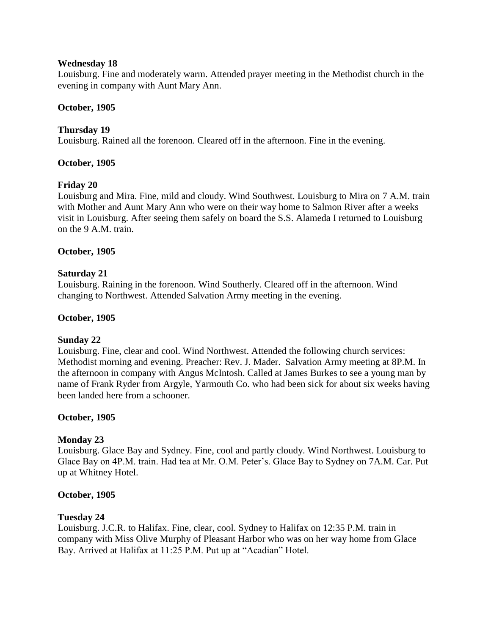## **Wednesday 18**

Louisburg. Fine and moderately warm. Attended prayer meeting in the Methodist church in the evening in company with Aunt Mary Ann.

## **October, 1905**

## **Thursday 19**

Louisburg. Rained all the forenoon. Cleared off in the afternoon. Fine in the evening.

## **October, 1905**

## **Friday 20**

Louisburg and Mira. Fine, mild and cloudy. Wind Southwest. Louisburg to Mira on 7 A.M. train with Mother and Aunt Mary Ann who were on their way home to Salmon River after a weeks visit in Louisburg. After seeing them safely on board the S.S. Alameda I returned to Louisburg on the 9 A.M. train.

## **October, 1905**

## **Saturday 21**

Louisburg. Raining in the forenoon. Wind Southerly. Cleared off in the afternoon. Wind changing to Northwest. Attended Salvation Army meeting in the evening.

## **October, 1905**

## **Sunday 22**

Louisburg. Fine, clear and cool. Wind Northwest. Attended the following church services: Methodist morning and evening. Preacher: Rev. J. Mader. Salvation Army meeting at 8P.M. In the afternoon in company with Angus McIntosh. Called at James Burkes to see a young man by name of Frank Ryder from Argyle, Yarmouth Co. who had been sick for about six weeks having been landed here from a schooner.

## **October, 1905**

## **Monday 23**

Louisburg. Glace Bay and Sydney. Fine, cool and partly cloudy. Wind Northwest. Louisburg to Glace Bay on 4P.M. train. Had tea at Mr. O.M. Peter"s. Glace Bay to Sydney on 7A.M. Car. Put up at Whitney Hotel.

## **October, 1905**

## **Tuesday 24**

Louisburg. J.C.R. to Halifax. Fine, clear, cool. Sydney to Halifax on 12:35 P.M. train in company with Miss Olive Murphy of Pleasant Harbor who was on her way home from Glace Bay. Arrived at Halifax at 11:25 P.M. Put up at "Acadian" Hotel.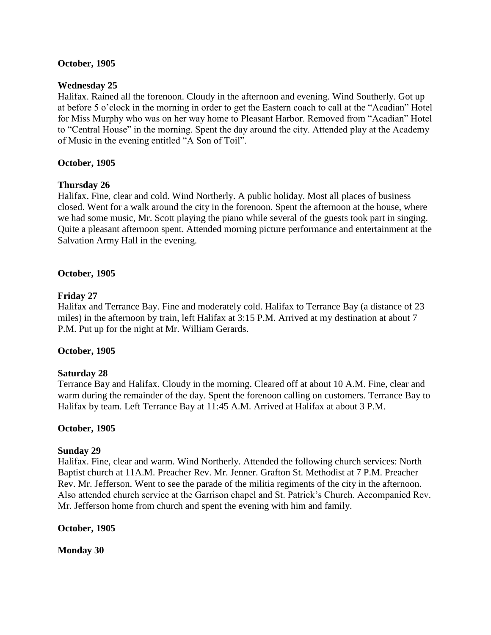## **October, 1905**

## **Wednesday 25**

Halifax. Rained all the forenoon. Cloudy in the afternoon and evening. Wind Southerly. Got up at before 5 o"clock in the morning in order to get the Eastern coach to call at the "Acadian" Hotel for Miss Murphy who was on her way home to Pleasant Harbor. Removed from "Acadian" Hotel to "Central House" in the morning. Spent the day around the city. Attended play at the Academy of Music in the evening entitled "A Son of Toil".

## **October, 1905**

## **Thursday 26**

Halifax. Fine, clear and cold. Wind Northerly. A public holiday. Most all places of business closed. Went for a walk around the city in the forenoon. Spent the afternoon at the house, where we had some music, Mr. Scott playing the piano while several of the guests took part in singing. Quite a pleasant afternoon spent. Attended morning picture performance and entertainment at the Salvation Army Hall in the evening.

## **October, 1905**

## **Friday 27**

Halifax and Terrance Bay. Fine and moderately cold. Halifax to Terrance Bay (a distance of 23 miles) in the afternoon by train, left Halifax at 3:15 P.M. Arrived at my destination at about 7 P.M. Put up for the night at Mr. William Gerards.

## **October, 1905**

## **Saturday 28**

Terrance Bay and Halifax. Cloudy in the morning. Cleared off at about 10 A.M. Fine, clear and warm during the remainder of the day. Spent the forenoon calling on customers. Terrance Bay to Halifax by team. Left Terrance Bay at 11:45 A.M. Arrived at Halifax at about 3 P.M.

## **October, 1905**

## **Sunday 29**

Halifax. Fine, clear and warm. Wind Northerly. Attended the following church services: North Baptist church at 11A.M. Preacher Rev. Mr. Jenner. Grafton St. Methodist at 7 P.M. Preacher Rev. Mr. Jefferson. Went to see the parade of the militia regiments of the city in the afternoon. Also attended church service at the Garrison chapel and St. Patrick"s Church. Accompanied Rev. Mr. Jefferson home from church and spent the evening with him and family.

## **October, 1905**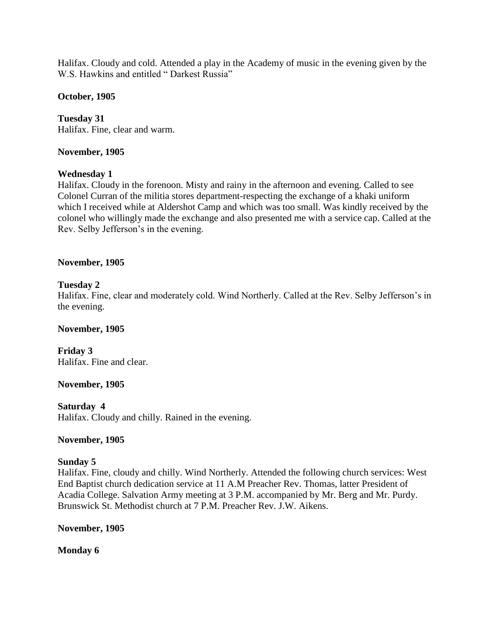Halifax. Cloudy and cold. Attended a play in the Academy of music in the evening given by the W.S. Hawkins and entitled "Darkest Russia"

## **October, 1905**

**Tuesday 31** Halifax. Fine, clear and warm.

## **November, 1905**

## **Wednesday 1**

Halifax. Cloudy in the forenoon. Misty and rainy in the afternoon and evening. Called to see Colonel Curran of the militia stores department-respecting the exchange of a khaki uniform which I received while at Aldershot Camp and which was too small. Was kindly received by the colonel who willingly made the exchange and also presented me with a service cap. Called at the Rev. Selby Jefferson"s in the evening.

## **November, 1905**

## **Tuesday 2**

Halifax. Fine, clear and moderately cold. Wind Northerly. Called at the Rev. Selby Jefferson's in the evening.

## **November, 1905**

**Friday 3** Halifax. Fine and clear.

## **November, 1905**

## **Saturday 4**

Halifax. Cloudy and chilly. Rained in the evening.

## **November, 1905**

## **Sunday 5**

Halifax. Fine, cloudy and chilly. Wind Northerly. Attended the following church services: West End Baptist church dedication service at 11 A.M Preacher Rev. Thomas, latter President of Acadia College. Salvation Army meeting at 3 P.M. accompanied by Mr. Berg and Mr. Purdy. Brunswick St. Methodist church at 7 P.M. Preacher Rev. J.W. Aikens.

## **November, 1905**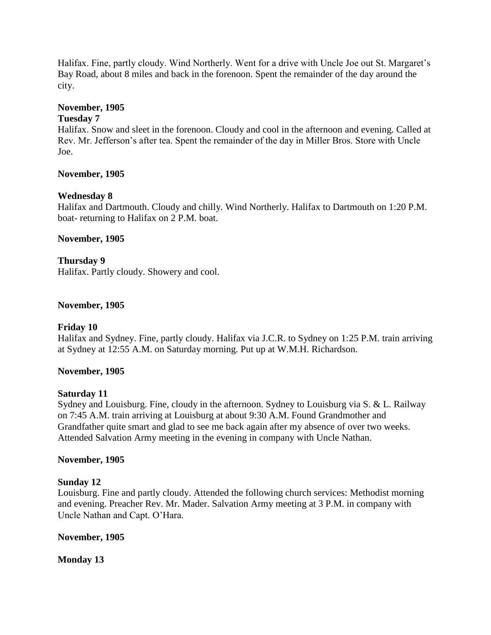Halifax. Fine, partly cloudy. Wind Northerly. Went for a drive with Uncle Joe out St. Margaret"s Bay Road, about 8 miles and back in the forenoon. Spent the remainder of the day around the city.

## **November, 1905**

#### **Tuesday 7**

Halifax. Snow and sleet in the forenoon. Cloudy and cool in the afternoon and evening. Called at Rev. Mr. Jefferson"s after tea. Spent the remainder of the day in Miller Bros. Store with Uncle Joe.

#### **November, 1905**

## **Wednesday 8**

Halifax and Dartmouth. Cloudy and chilly. Wind Northerly. Halifax to Dartmouth on 1:20 P.M. boat- returning to Halifax on 2 P.M. boat.

#### **November, 1905**

**Thursday 9** Halifax. Partly cloudy. Showery and cool.

#### **November, 1905**

#### **Friday 10**

Halifax and Sydney. Fine, partly cloudy. Halifax via J.C.R. to Sydney on 1:25 P.M. train arriving at Sydney at 12:55 A.M. on Saturday morning. Put up at W.M.H. Richardson.

#### **November, 1905**

#### **Saturday 11**

Sydney and Louisburg. Fine, cloudy in the afternoon. Sydney to Louisburg via S. & L. Railway on 7:45 A.M. train arriving at Louisburg at about 9:30 A.M. Found Grandmother and Grandfather quite smart and glad to see me back again after my absence of over two weeks. Attended Salvation Army meeting in the evening in company with Uncle Nathan.

#### **November, 1905**

#### **Sunday 12**

Louisburg. Fine and partly cloudy. Attended the following church services: Methodist morning and evening. Preacher Rev. Mr. Mader. Salvation Army meeting at 3 P.M. in company with Uncle Nathan and Capt. O"Hara.

## **November, 1905**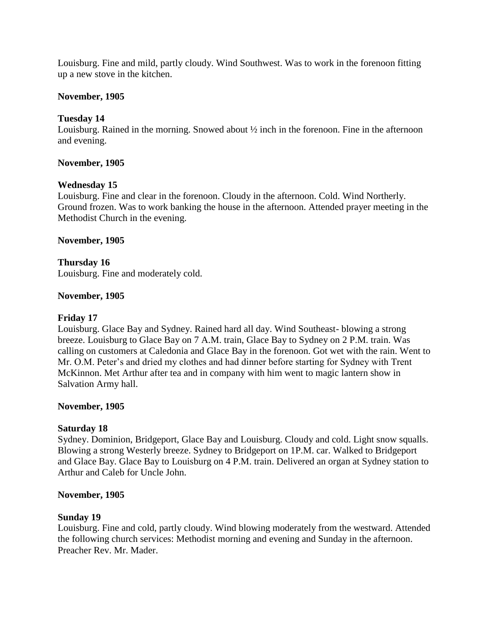Louisburg. Fine and mild, partly cloudy. Wind Southwest. Was to work in the forenoon fitting up a new stove in the kitchen.

#### **November, 1905**

## **Tuesday 14**

Louisburg. Rained in the morning. Snowed about ½ inch in the forenoon. Fine in the afternoon and evening.

#### **November, 1905**

#### **Wednesday 15**

Louisburg. Fine and clear in the forenoon. Cloudy in the afternoon. Cold. Wind Northerly. Ground frozen. Was to work banking the house in the afternoon. Attended prayer meeting in the Methodist Church in the evening.

#### **November, 1905**

# **Thursday 16**

Louisburg. Fine and moderately cold.

#### **November, 1905**

#### **Friday 17**

Louisburg. Glace Bay and Sydney. Rained hard all day. Wind Southeast- blowing a strong breeze. Louisburg to Glace Bay on 7 A.M. train, Glace Bay to Sydney on 2 P.M. train. Was calling on customers at Caledonia and Glace Bay in the forenoon. Got wet with the rain. Went to Mr. O.M. Peter's and dried my clothes and had dinner before starting for Sydney with Trent McKinnon. Met Arthur after tea and in company with him went to magic lantern show in Salvation Army hall.

#### **November, 1905**

#### **Saturday 18**

Sydney. Dominion, Bridgeport, Glace Bay and Louisburg. Cloudy and cold. Light snow squalls. Blowing a strong Westerly breeze. Sydney to Bridgeport on 1P.M. car. Walked to Bridgeport and Glace Bay. Glace Bay to Louisburg on 4 P.M. train. Delivered an organ at Sydney station to Arthur and Caleb for Uncle John.

#### **November, 1905**

#### **Sunday 19**

Louisburg. Fine and cold, partly cloudy. Wind blowing moderately from the westward. Attended the following church services: Methodist morning and evening and Sunday in the afternoon. Preacher Rev. Mr. Mader.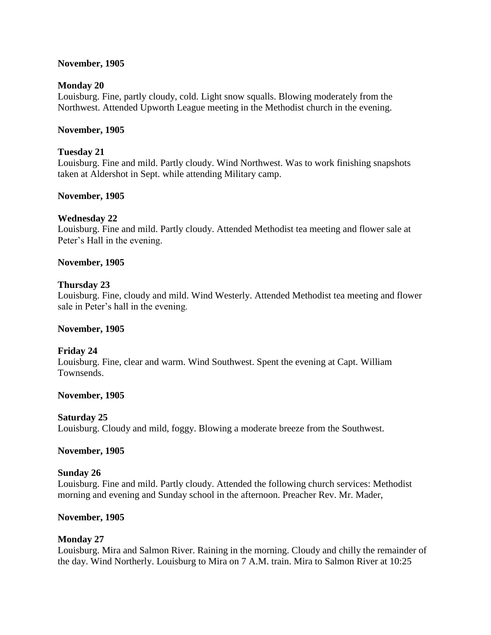## **November, 1905**

#### **Monday 20**

Louisburg. Fine, partly cloudy, cold. Light snow squalls. Blowing moderately from the Northwest. Attended Upworth League meeting in the Methodist church in the evening.

#### **November, 1905**

#### **Tuesday 21**

Louisburg. Fine and mild. Partly cloudy. Wind Northwest. Was to work finishing snapshots taken at Aldershot in Sept. while attending Military camp.

#### **November, 1905**

#### **Wednesday 22**

Louisburg. Fine and mild. Partly cloudy. Attended Methodist tea meeting and flower sale at Peter's Hall in the evening.

#### **November, 1905**

#### **Thursday 23**

Louisburg. Fine, cloudy and mild. Wind Westerly. Attended Methodist tea meeting and flower sale in Peter's hall in the evening.

## **November, 1905**

## **Friday 24**

Louisburg. Fine, clear and warm. Wind Southwest. Spent the evening at Capt. William Townsends.

#### **November, 1905**

## **Saturday 25**

Louisburg. Cloudy and mild, foggy. Blowing a moderate breeze from the Southwest.

#### **November, 1905**

#### **Sunday 26**

Louisburg. Fine and mild. Partly cloudy. Attended the following church services: Methodist morning and evening and Sunday school in the afternoon. Preacher Rev. Mr. Mader,

## **November, 1905**

## **Monday 27**

Louisburg. Mira and Salmon River. Raining in the morning. Cloudy and chilly the remainder of the day. Wind Northerly. Louisburg to Mira on 7 A.M. train. Mira to Salmon River at 10:25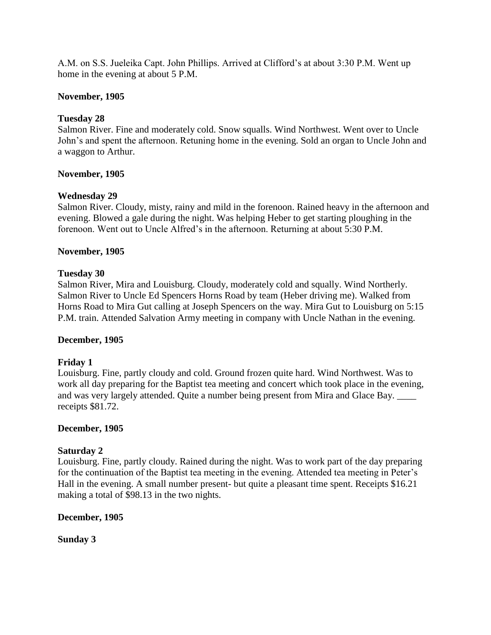A.M. on S.S. Jueleika Capt. John Phillips. Arrived at Clifford"s at about 3:30 P.M. Went up home in the evening at about 5 P.M.

## **November, 1905**

## **Tuesday 28**

Salmon River. Fine and moderately cold. Snow squalls. Wind Northwest. Went over to Uncle John"s and spent the afternoon. Retuning home in the evening. Sold an organ to Uncle John and a waggon to Arthur.

## **November, 1905**

## **Wednesday 29**

Salmon River. Cloudy, misty, rainy and mild in the forenoon. Rained heavy in the afternoon and evening. Blowed a gale during the night. Was helping Heber to get starting ploughing in the forenoon. Went out to Uncle Alfred"s in the afternoon. Returning at about 5:30 P.M.

## **November, 1905**

## **Tuesday 30**

Salmon River, Mira and Louisburg. Cloudy, moderately cold and squally. Wind Northerly. Salmon River to Uncle Ed Spencers Horns Road by team (Heber driving me). Walked from Horns Road to Mira Gut calling at Joseph Spencers on the way. Mira Gut to Louisburg on 5:15 P.M. train. Attended Salvation Army meeting in company with Uncle Nathan in the evening.

## **December, 1905**

## **Friday 1**

Louisburg. Fine, partly cloudy and cold. Ground frozen quite hard. Wind Northwest. Was to work all day preparing for the Baptist tea meeting and concert which took place in the evening, and was very largely attended. Quite a number being present from Mira and Glace Bay. receipts \$81.72.

## **December, 1905**

## **Saturday 2**

Louisburg. Fine, partly cloudy. Rained during the night. Was to work part of the day preparing for the continuation of the Baptist tea meeting in the evening. Attended tea meeting in Peter"s Hall in the evening. A small number present- but quite a pleasant time spent. Receipts \$16.21 making a total of \$98.13 in the two nights.

## **December, 1905**

**Sunday 3**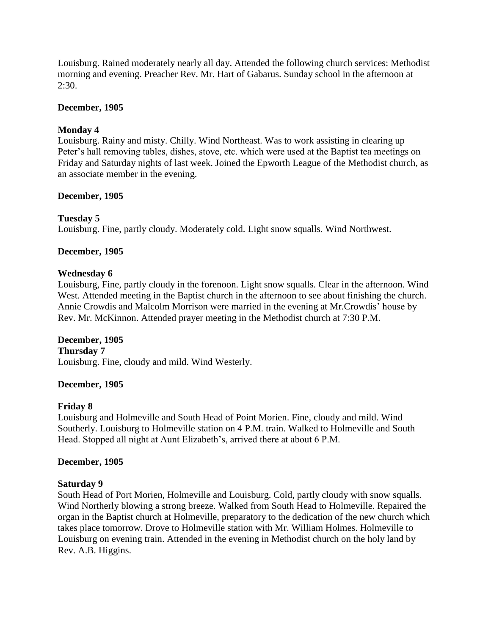Louisburg. Rained moderately nearly all day. Attended the following church services: Methodist morning and evening. Preacher Rev. Mr. Hart of Gabarus. Sunday school in the afternoon at  $2:30.$ 

## **December, 1905**

## **Monday 4**

Louisburg. Rainy and misty. Chilly. Wind Northeast. Was to work assisting in clearing up Peter"s hall removing tables, dishes, stove, etc. which were used at the Baptist tea meetings on Friday and Saturday nights of last week. Joined the Epworth League of the Methodist church, as an associate member in the evening.

## **December, 1905**

## **Tuesday 5**

Louisburg. Fine, partly cloudy. Moderately cold. Light snow squalls. Wind Northwest.

## **December, 1905**

## **Wednesday 6**

Louisburg, Fine, partly cloudy in the forenoon. Light snow squalls. Clear in the afternoon. Wind West. Attended meeting in the Baptist church in the afternoon to see about finishing the church. Annie Crowdis and Malcolm Morrison were married in the evening at Mr.Crowdis" house by Rev. Mr. McKinnon. Attended prayer meeting in the Methodist church at 7:30 P.M.

## **December, 1905**

## **Thursday 7**

Louisburg. Fine, cloudy and mild. Wind Westerly.

## **December, 1905**

## **Friday 8**

Louisburg and Holmeville and South Head of Point Morien. Fine, cloudy and mild. Wind Southerly. Louisburg to Holmeville station on 4 P.M. train. Walked to Holmeville and South Head. Stopped all night at Aunt Elizabeth's, arrived there at about 6 P.M.

## **December, 1905**

## **Saturday 9**

South Head of Port Morien, Holmeville and Louisburg. Cold, partly cloudy with snow squalls. Wind Northerly blowing a strong breeze. Walked from South Head to Holmeville. Repaired the organ in the Baptist church at Holmeville, preparatory to the dedication of the new church which takes place tomorrow. Drove to Holmeville station with Mr. William Holmes. Holmeville to Louisburg on evening train. Attended in the evening in Methodist church on the holy land by Rev. A.B. Higgins.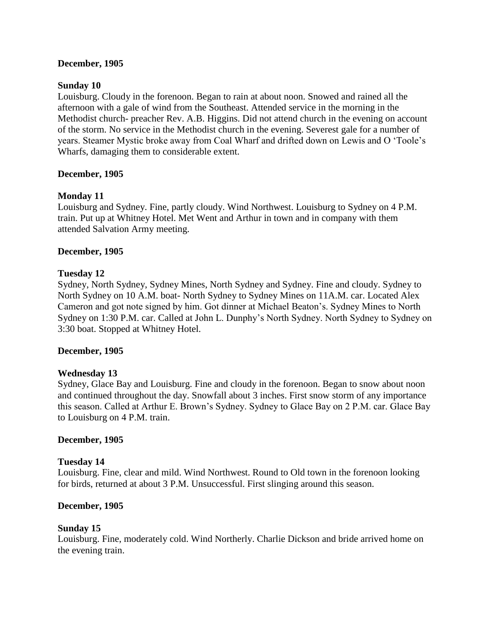## **December, 1905**

#### **Sunday 10**

Louisburg. Cloudy in the forenoon. Began to rain at about noon. Snowed and rained all the afternoon with a gale of wind from the Southeast. Attended service in the morning in the Methodist church- preacher Rev. A.B. Higgins. Did not attend church in the evening on account of the storm. No service in the Methodist church in the evening. Severest gale for a number of years. Steamer Mystic broke away from Coal Wharf and drifted down on Lewis and O "Toole"s Wharfs, damaging them to considerable extent.

#### **December, 1905**

#### **Monday 11**

Louisburg and Sydney. Fine, partly cloudy. Wind Northwest. Louisburg to Sydney on 4 P.M. train. Put up at Whitney Hotel. Met Went and Arthur in town and in company with them attended Salvation Army meeting.

#### **December, 1905**

#### **Tuesday 12**

Sydney, North Sydney, Sydney Mines, North Sydney and Sydney. Fine and cloudy. Sydney to North Sydney on 10 A.M. boat- North Sydney to Sydney Mines on 11A.M. car. Located Alex Cameron and got note signed by him. Got dinner at Michael Beaton"s. Sydney Mines to North Sydney on 1:30 P.M. car. Called at John L. Dunphy"s North Sydney. North Sydney to Sydney on 3:30 boat. Stopped at Whitney Hotel.

#### **December, 1905**

#### **Wednesday 13**

Sydney, Glace Bay and Louisburg. Fine and cloudy in the forenoon. Began to snow about noon and continued throughout the day. Snowfall about 3 inches. First snow storm of any importance this season. Called at Arthur E. Brown"s Sydney. Sydney to Glace Bay on 2 P.M. car. Glace Bay to Louisburg on 4 P.M. train.

#### **December, 1905**

#### **Tuesday 14**

Louisburg. Fine, clear and mild. Wind Northwest. Round to Old town in the forenoon looking for birds, returned at about 3 P.M. Unsuccessful. First slinging around this season.

#### **December, 1905**

## **Sunday 15**

Louisburg. Fine, moderately cold. Wind Northerly. Charlie Dickson and bride arrived home on the evening train.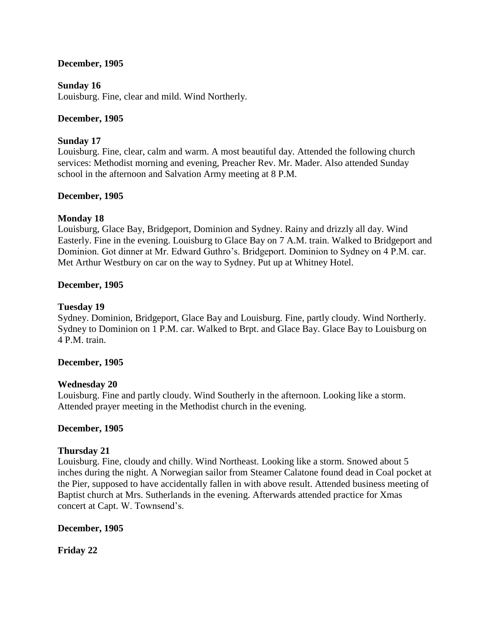## **December, 1905**

## **Sunday 16**

Louisburg. Fine, clear and mild. Wind Northerly.

## **December, 1905**

## **Sunday 17**

Louisburg. Fine, clear, calm and warm. A most beautiful day. Attended the following church services: Methodist morning and evening, Preacher Rev. Mr. Mader. Also attended Sunday school in the afternoon and Salvation Army meeting at 8 P.M.

## **December, 1905**

## **Monday 18**

Louisburg, Glace Bay, Bridgeport, Dominion and Sydney. Rainy and drizzly all day. Wind Easterly. Fine in the evening. Louisburg to Glace Bay on 7 A.M. train. Walked to Bridgeport and Dominion. Got dinner at Mr. Edward Guthro"s. Bridgeport. Dominion to Sydney on 4 P.M. car. Met Arthur Westbury on car on the way to Sydney. Put up at Whitney Hotel.

## **December, 1905**

## **Tuesday 19**

Sydney. Dominion, Bridgeport, Glace Bay and Louisburg. Fine, partly cloudy. Wind Northerly. Sydney to Dominion on 1 P.M. car. Walked to Brpt. and Glace Bay. Glace Bay to Louisburg on 4 P.M. train.

## **December, 1905**

## **Wednesday 20**

Louisburg. Fine and partly cloudy. Wind Southerly in the afternoon. Looking like a storm. Attended prayer meeting in the Methodist church in the evening.

## **December, 1905**

## **Thursday 21**

Louisburg. Fine, cloudy and chilly. Wind Northeast. Looking like a storm. Snowed about 5 inches during the night. A Norwegian sailor from Steamer Calatone found dead in Coal pocket at the Pier, supposed to have accidentally fallen in with above result. Attended business meeting of Baptist church at Mrs. Sutherlands in the evening. Afterwards attended practice for Xmas concert at Capt. W. Townsend"s.

## **December, 1905**

**Friday 22**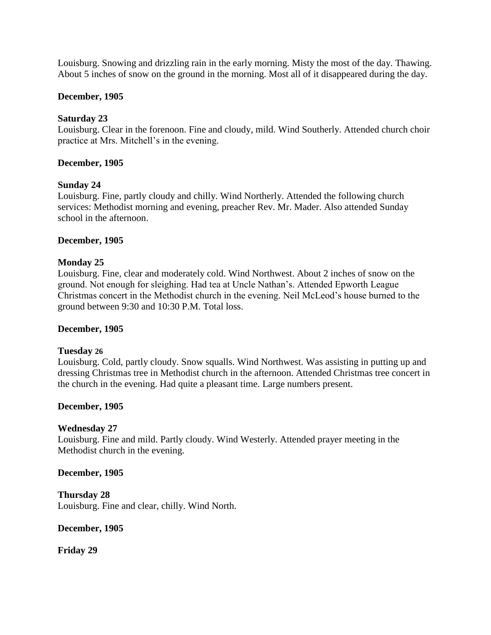Louisburg. Snowing and drizzling rain in the early morning. Misty the most of the day. Thawing. About 5 inches of snow on the ground in the morning. Most all of it disappeared during the day.

## **December, 1905**

## **Saturday 23**

Louisburg. Clear in the forenoon. Fine and cloudy, mild. Wind Southerly. Attended church choir practice at Mrs. Mitchell's in the evening.

## **December, 1905**

## **Sunday 24**

Louisburg. Fine, partly cloudy and chilly. Wind Northerly. Attended the following church services: Methodist morning and evening, preacher Rev. Mr. Mader. Also attended Sunday school in the afternoon.

## **December, 1905**

## **Monday 25**

Louisburg. Fine, clear and moderately cold. Wind Northwest. About 2 inches of snow on the ground. Not enough for sleighing. Had tea at Uncle Nathan"s. Attended Epworth League Christmas concert in the Methodist church in the evening. Neil McLeod"s house burned to the ground between 9:30 and 10:30 P.M. Total loss.

## **December, 1905**

## **Tuesday 26**

Louisburg. Cold, partly cloudy. Snow squalls. Wind Northwest. Was assisting in putting up and dressing Christmas tree in Methodist church in the afternoon. Attended Christmas tree concert in the church in the evening. Had quite a pleasant time. Large numbers present.

## **December, 1905**

## **Wednesday 27**

Louisburg. Fine and mild. Partly cloudy. Wind Westerly. Attended prayer meeting in the Methodist church in the evening.

## **December, 1905**

**Thursday 28** Louisburg. Fine and clear, chilly. Wind North.

## **December, 1905**

**Friday 29**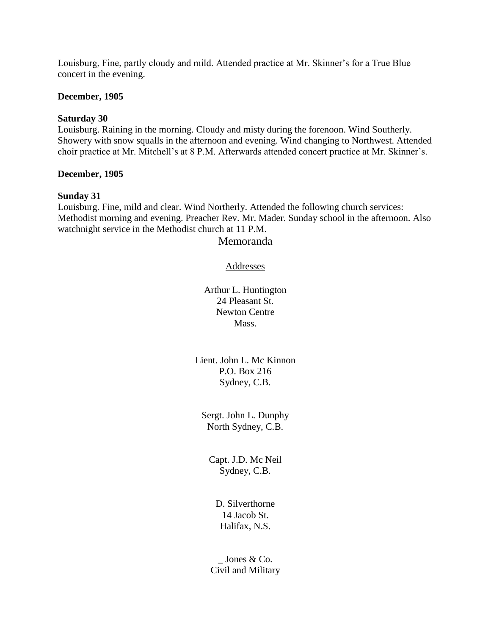Louisburg, Fine, partly cloudy and mild. Attended practice at Mr. Skinner"s for a True Blue concert in the evening.

## **December, 1905**

#### **Saturday 30**

Louisburg. Raining in the morning. Cloudy and misty during the forenoon. Wind Southerly. Showery with snow squalls in the afternoon and evening. Wind changing to Northwest. Attended choir practice at Mr. Mitchell"s at 8 P.M. Afterwards attended concert practice at Mr. Skinner"s.

#### **December, 1905**

#### **Sunday 31**

Louisburg. Fine, mild and clear. Wind Northerly. Attended the following church services: Methodist morning and evening. Preacher Rev. Mr. Mader. Sunday school in the afternoon. Also watchnight service in the Methodist church at 11 P.M.

#### Memoranda

## Addresses

Arthur L. Huntington 24 Pleasant St. Newton Centre Mass.

Lient. John L. Mc Kinnon P.O. Box 216 Sydney, C.B.

Sergt. John L. Dunphy North Sydney, C.B.

Capt. J.D. Mc Neil Sydney, C.B.

D. Silverthorne 14 Jacob St. Halifax, N.S.

Jones & Co. Civil and Military